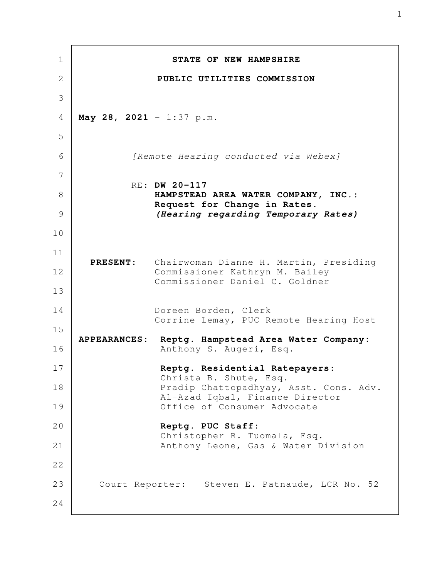**STATE OF NEW HAMPSHIRE PUBLIC UTILITIES COMMISSION May 28, 2021** - 1:37 p.m. [Remote Hearing conducted via Webex] RE: **DW 20-117 HAMPSTEAD AREA WATER COMPANY, INC.: Request for Change in Rates.** *(Hearing regarding Temporary Rates)*  **PRESENT:** Chairwoman Dianne H. Martin, Presiding Commissioner Kathryn M. Bailey Commissioner Daniel C. Goldner Doreen Borden, Clerk Corrine Lemay, PUC Remote Hearing Host **APPEARANCES: Reptg. Hampstead Area Water Company:** Anthony S. Augeri, Esq. **Reptg. Residential Ratepayers:** Christa B. Shute, Esq. Pradip Chattopadhyay, Asst. Cons. Adv. Al-Azad Iqbal, Finance Director Office of Consumer Advocate **Reptg. PUC Staff:** Christopher R. Tuomala, Esq. Anthony Leone, Gas & Water Division Court Reporter: Steven E. Patnaude, LCR No. 52 1 2 3 4 5 6 7 8 9 10 11 12 13 14 15 16 17 18 19 20 21 22 23 24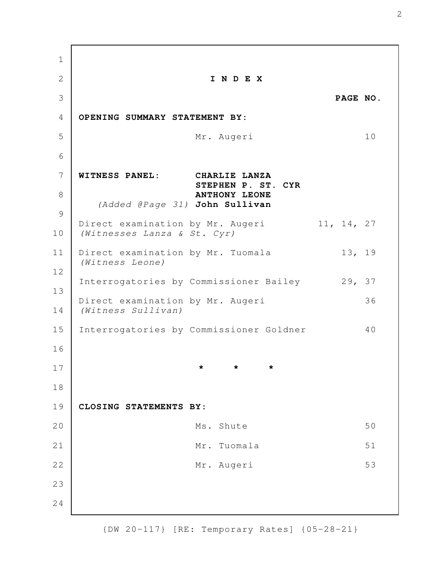**I N D E X PAGE NO. OPENING SUMMARY STATEMENT BY:**  Mr. Augeri 10 **WITNESS PANEL: CHARLIE LANZA STEPHEN P. ST. CYR ANTHONY LEONE** (Added @Page 31) **John Sullivan** Direct examination by Mr. Augeri 11, 14, 27 (Witnesses Lanza & St. Cyr) Direct examination by Mr. Tuomala 13, 19 (Witness Leone) Interrogatories by Commissioner Bailey 29, 37 Direct examination by Mr. Augeri 36 (Witness Sullivan) Interrogatories by Commissioner Goldner 40 **\* \* \* CLOSING STATEMENTS BY:**  Ms. Shute 50 Mr. Tuomala 51 Mr. Augeri 53 1 2 3 4 5 6 7 8 9 10 11 12 13 14 15 16 17 18 19 20 21 22 23 24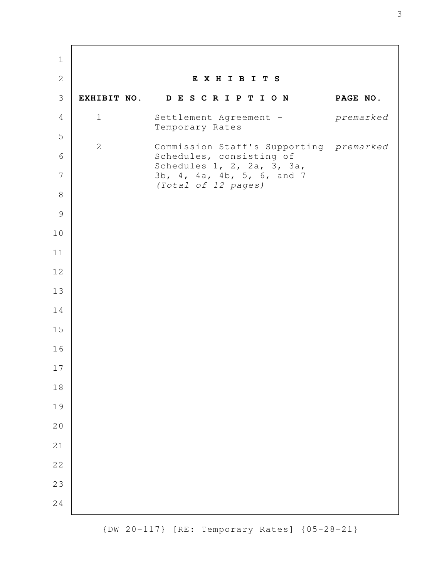**E X H I B I T S EXHIBIT NO. D E S C R I P T I O N PAGE NO.** 1 Settlement Agreement - premarked Temporary Rates 2 Commission Staff's Supporting premarked Schedules, consisting of Schedules 1, 2, 2a, 3, 3a, 3b, 4, 4a, 4b, 5, 6, and 7 (Total of 12 pages)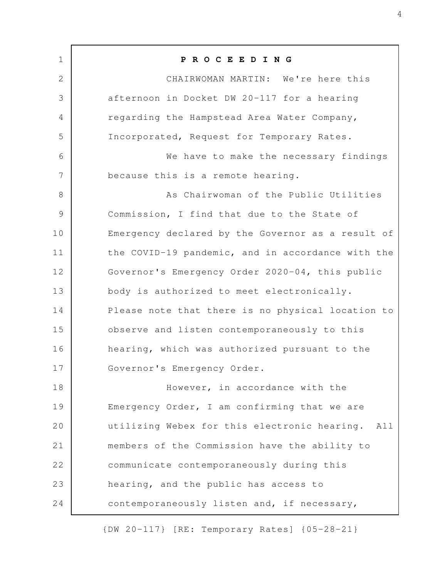**P R O C E E D I N G** CHAIRWOMAN MARTIN: We're here this afternoon in Docket DW 20-117 for a hearing regarding the Hampstead Area Water Company, Incorporated, Request for Temporary Rates. We have to make the necessary findings because this is a remote hearing. As Chairwoman of the Public Utilities Commission, I find that due to the State of Emergency declared by the Governor as a result of the COVID-19 pandemic, and in accordance with the Governor's Emergency Order 2020-04, this public body is authorized to meet electronically. Please note that there is no physical location to observe and listen contemporaneously to this hearing, which was authorized pursuant to the Governor's Emergency Order. However, in accordance with the Emergency Order, I am confirming that we are utilizing Webex for this electronic hearing. All members of the Commission have the ability to communicate contemporaneously during this hearing, and the public has access to contemporaneously listen and, if necessary, 1 2 3 4 5 6 7 8 9 10 11 12 13 14 15 16 17 18 19 20 21 22 23 24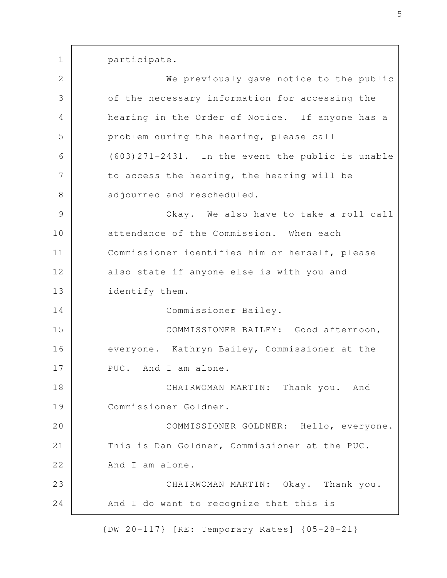participate. We previously gave notice to the public of the necessary information for accessing the hearing in the Order of Notice. If anyone has a problem during the hearing, please call (603)271-2431. In the event the public is unable to access the hearing, the hearing will be adjourned and rescheduled. Okay. We also have to take a roll call attendance of the Commission. When each Commissioner identifies him or herself, please also state if anyone else is with you and identify them. Commissioner Bailey. COMMISSIONER BAILEY: Good afternoon, everyone. Kathryn Bailey, Commissioner at the PUC. And I am alone. CHAIRWOMAN MARTIN: Thank you. And Commissioner Goldner. COMMISSIONER GOLDNER: Hello, everyone. This is Dan Goldner, Commissioner at the PUC. And I am alone. CHAIRWOMAN MARTIN: Okay. Thank you. And I do want to recognize that this is 1 2 3 4 5 6 7 8 9 10 11 12 13 14 15 16 17 18 19 20 21 22 23 24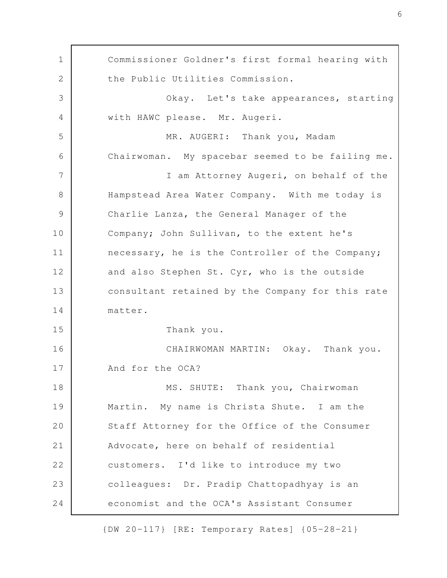Commissioner Goldner's first formal hearing with the Public Utilities Commission. Okay. Let's take appearances, starting with HAWC please. Mr. Augeri. MR. AUGERI: Thank you, Madam Chairwoman. My spacebar seemed to be failing me. I am Attorney Augeri, on behalf of the Hampstead Area Water Company. With me today is Charlie Lanza, the General Manager of the Company; John Sullivan, to the extent he's necessary, he is the Controller of the Company; and also Stephen St. Cyr, who is the outside consultant retained by the Company for this rate matter. Thank you. CHAIRWOMAN MARTIN: Okay. Thank you. And for the OCA? MS. SHUTE: Thank you, Chairwoman Martin. My name is Christa Shute. I am the Staff Attorney for the Office of the Consumer Advocate, here on behalf of residential customers. I'd like to introduce my two colleagues: Dr. Pradip Chattopadhyay is an economist and the OCA's Assistant Consumer 1 2 3 4 5 6 7 8 9 10 11 12 13 14 15 16 17 18 19 20 21 22 23 24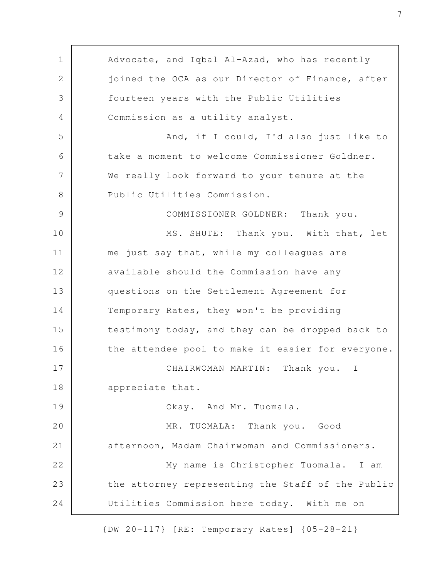Advocate, and Iqbal Al-Azad, who has recently joined the OCA as our Director of Finance, after fourteen years with the Public Utilities Commission as a utility analyst. And, if I could, I'd also just like to take a moment to welcome Commissioner Goldner. We really look forward to your tenure at the Public Utilities Commission. COMMISSIONER GOLDNER: Thank you. MS. SHUTE: Thank you. With that, let me just say that, while my colleagues are available should the Commission have any questions on the Settlement Agreement for Temporary Rates, they won't be providing testimony today, and they can be dropped back to the attendee pool to make it easier for everyone. CHAIRWOMAN MARTIN: Thank you. I appreciate that. Okay. And Mr. Tuomala. MR. TUOMALA: Thank you. Good afternoon, Madam Chairwoman and Commissioners. My name is Christopher Tuomala. I am the attorney representing the Staff of the Public Utilities Commission here today. With me on 1 2 3 4 5 6 7 8 9 10 11 12 13 14 15 16 17 18 19 20 21 22 23 24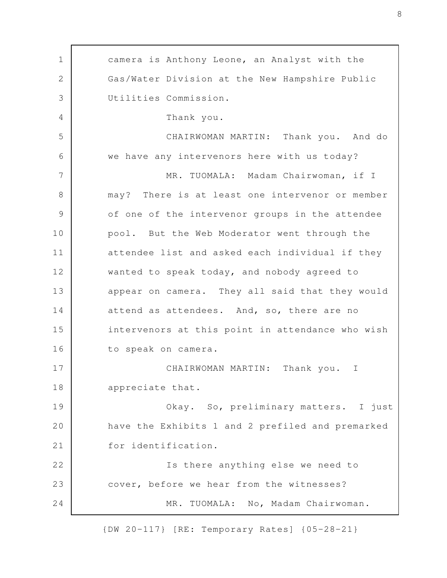camera is Anthony Leone, an Analyst with the Gas/Water Division at the New Hampshire Public Utilities Commission. Thank you. CHAIRWOMAN MARTIN: Thank you. And do we have any intervenors here with us today? MR. TUOMALA: Madam Chairwoman, if I may? There is at least one intervenor or member of one of the intervenor groups in the attendee pool. But the Web Moderator went through the attendee list and asked each individual if they wanted to speak today, and nobody agreed to appear on camera. They all said that they would attend as attendees. And, so, there are no intervenors at this point in attendance who wish to speak on camera. CHAIRWOMAN MARTIN: Thank you. I appreciate that. Okay. So, preliminary matters. I just have the Exhibits 1 and 2 prefiled and premarked for identification. Is there anything else we need to cover, before we hear from the witnesses? MR. TUOMALA: No, Madam Chairwoman. 1 2 3 4 5 6 7 8 9 10 11 12 13 14 15 16 17 18 19 20 21 22 23 24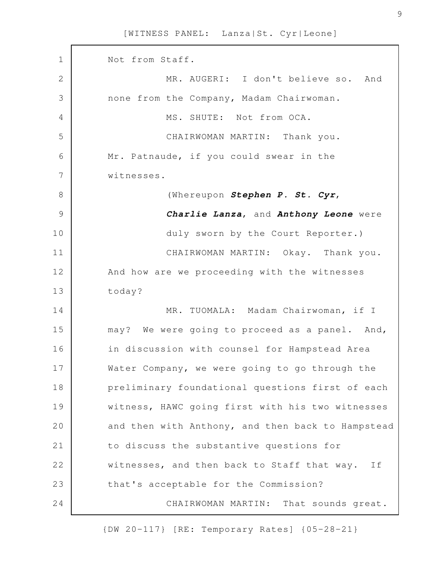Not from Staff. MR. AUGERI: I don't believe so. And none from the Company, Madam Chairwoman. MS. SHUTE: Not from OCA. CHAIRWOMAN MARTIN: Thank you. Mr. Patnaude, if you could swear in the witnesses. (Whereupon *Stephen P. St. Cyr*, *Charlie Lanza*, and *Anthony Leone* were duly sworn by the Court Reporter.) CHAIRWOMAN MARTIN: Okay. Thank you. And how are we proceeding with the witnesses today? MR. TUOMALA: Madam Chairwoman, if I may? We were going to proceed as a panel. And, in discussion with counsel for Hampstead Area Water Company, we were going to go through the preliminary foundational questions first of each witness, HAWC going first with his two witnesses and then with Anthony, and then back to Hampstead to discuss the substantive questions for witnesses, and then back to Staff that way. If that's acceptable for the Commission? CHAIRWOMAN MARTIN: That sounds great. 1 2 3 4 5 6 7 8 9 10 11 12 13 14 15 16 17 18 19 20 21 22 23 24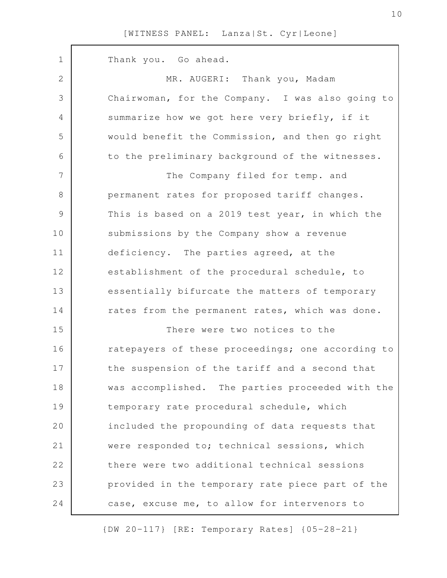| $\mathbf 1$   | Thank you. Go ahead.                              |
|---------------|---------------------------------------------------|
| 2             | MR. AUGERI: Thank you, Madam                      |
| 3             | Chairwoman, for the Company. I was also going to  |
| 4             | summarize how we got here very briefly, if it     |
| 5             | would benefit the Commission, and then go right   |
| 6             | to the preliminary background of the witnesses.   |
| 7             | The Company filed for temp. and                   |
| 8             | permanent rates for proposed tariff changes.      |
| $\mathcal{G}$ | This is based on a 2019 test year, in which the   |
| 10            | submissions by the Company show a revenue         |
| 11            | deficiency. The parties agreed, at the            |
| 12            | establishment of the procedural schedule, to      |
| 13            | essentially bifurcate the matters of temporary    |
| 14            | rates from the permanent rates, which was done.   |
| 15            | There were two notices to the                     |
| 16            | ratepayers of these proceedings; one according to |
| 17            | the suspension of the tariff and a second that    |
| 18            | was accomplished. The parties proceeded with the  |
| 19            | temporary rate procedural schedule, which         |
| 20            | included the propounding of data requests that    |
| 21            | were responded to; technical sessions, which      |
| 22            | there were two additional technical sessions      |
| 23            | provided in the temporary rate piece part of the  |
| 24            | case, excuse me, to allow for intervenors to      |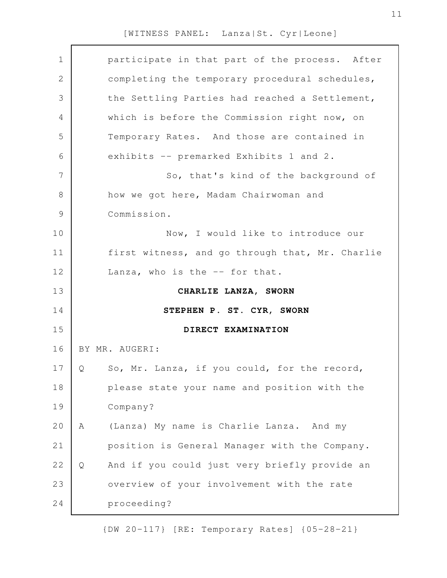| $\mathbf 1$   | participate in that part of the process. After     |  |
|---------------|----------------------------------------------------|--|
| $\mathbf{2}$  | completing the temporary procedural schedules,     |  |
| 3             | the Settling Parties had reached a Settlement,     |  |
| 4             | which is before the Commission right now, on       |  |
| 5             | Temporary Rates. And those are contained in        |  |
| 6             | exhibits -- premarked Exhibits 1 and 2.            |  |
| 7             | So, that's kind of the background of               |  |
| 8             | how we got here, Madam Chairwoman and              |  |
| $\mathcal{G}$ | Commission.                                        |  |
| 10            | Now, I would like to introduce our                 |  |
| 11            | first witness, and go through that, Mr. Charlie    |  |
| 12            | Lanza, who is the -- for that.                     |  |
|               |                                                    |  |
| 13            | CHARLIE LANZA, SWORN                               |  |
| 14            | STEPHEN P. ST. CYR, SWORN                          |  |
| 15            | DIRECT EXAMINATION                                 |  |
| 16            | BY MR. AUGERI:                                     |  |
| 17            | So, Mr. Lanza, if you could, for the record,<br>Q  |  |
| 18            | please state your name and position with the       |  |
| 19            | Company?                                           |  |
| 20            | (Lanza) My name is Charlie Lanza. And my<br>Α      |  |
| 21            | position is General Manager with the Company.      |  |
| 22            | And if you could just very briefly provide an<br>Q |  |
| 23            | overview of your involvement with the rate         |  |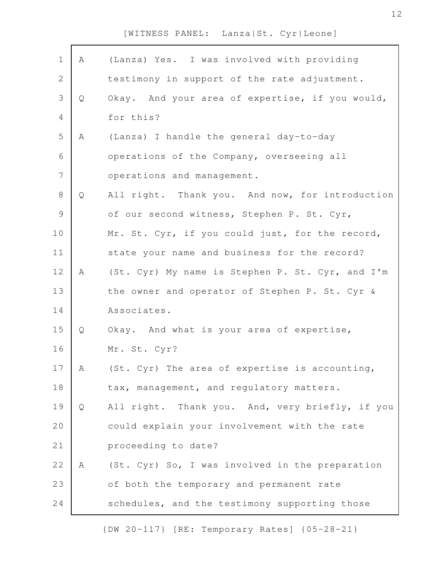| $\mathbf 1$    | Α           | (Lanza) Yes. I was involved with providing       |
|----------------|-------------|--------------------------------------------------|
| $\mathbf 2$    |             | testimony in support of the rate adjustment.     |
| 3              | Q           | Okay. And your area of expertise, if you would,  |
| $\overline{4}$ |             | for this?                                        |
| 5              | Α           | (Lanza) I handle the general day-to-day          |
| 6              |             | operations of the Company, overseeing all        |
| $\overline{7}$ |             | operations and management.                       |
| $8\,$          | Q           | All right. Thank you. And now, for introduction  |
| $\mathcal{G}$  |             | of our second witness, Stephen P. St. Cyr,       |
| 10             |             | Mr. St. Cyr, if you could just, for the record,  |
| 11             |             | state your name and business for the record?     |
| 12             | $\mathbb A$ | (St. Cyr) My name is Stephen P. St. Cyr, and I'm |
| 13             |             | the owner and operator of Stephen P. St. Cyr &   |
| 14             |             | Associates.                                      |
| 15             | Q           | Okay. And what is your area of expertise,        |
| 16             |             | Mr. St. Cyr?                                     |
| 17             | А           | (St. Cyr) The area of expertise is accounting,   |
| 18             |             | tax, management, and regulatory matters.         |
| 19             | Q           | All right. Thank you. And, very briefly, if you  |
| 20             |             | could explain your involvement with the rate     |
| 21             |             | proceeding to date?                              |
| 22             | Α           | (St. Cyr) So, I was involved in the preparation  |
| 23             |             | of both the temporary and permanent rate         |
| 24             |             | schedules, and the testimony supporting those    |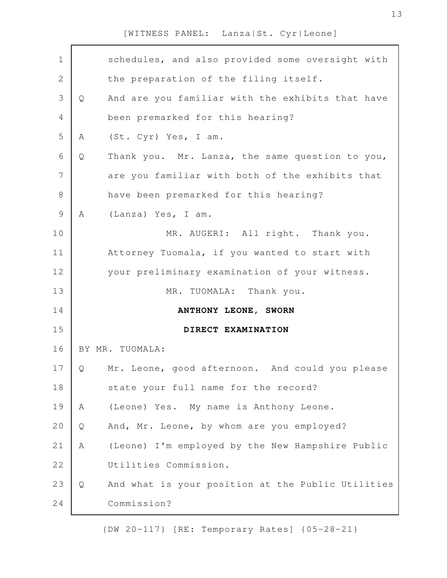| $\mathbf 1$  |   | schedules, and also provided some oversight with  |
|--------------|---|---------------------------------------------------|
| $\mathbf{2}$ |   | the preparation of the filing itself.             |
| 3            | Q | And are you familiar with the exhibits that have  |
| 4            |   | been premarked for this hearing?                  |
| 5            | A | (St. Cyr) Yes, I am.                              |
| 6            | Q | Thank you. Mr. Lanza, the same question to you,   |
| 7            |   | are you familiar with both of the exhibits that   |
| 8            |   | have been premarked for this hearing?             |
| $\mathsf 9$  | A | (Lanza) Yes, I am.                                |
| 10           |   | MR. AUGERI: All right. Thank you.                 |
| 11           |   | Attorney Tuomala, if you wanted to start with     |
| 12           |   | your preliminary examination of your witness.     |
| 13           |   | Thank you.<br>MR. TUOMALA:                        |
| 14           |   | ANTHONY LEONE, SWORN                              |
| 15           |   | DIRECT EXAMINATION                                |
| 16           |   | BY MR. TUOMALA:                                   |
| 17           | Q | Mr. Leone, good afternoon. And could you please   |
| 18           |   | state your full name for the record?              |
| 19           | Α | (Leone) Yes. My name is Anthony Leone.            |
| 20           | Q | And, Mr. Leone, by whom are you employed?         |
| 21           | A | (Leone) I'm employed by the New Hampshire Public  |
| 22           |   | Utilities Commission.                             |
| 23           | Q | And what is your position at the Public Utilities |
| 24           |   | Commission?                                       |
|              |   |                                                   |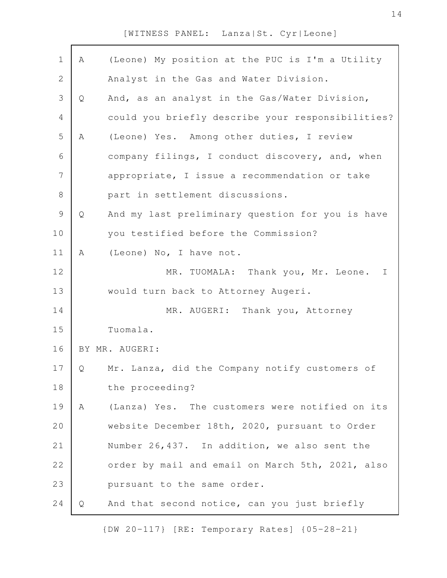| $\mathbf 1$    | Α | (Leone) My position at the PUC is I'm a Utility   |
|----------------|---|---------------------------------------------------|
| $\mathbf 2$    |   | Analyst in the Gas and Water Division.            |
| 3              | Q | And, as an analyst in the Gas/Water Division,     |
| $\overline{4}$ |   | could you briefly describe your responsibilities? |
| 5              | Α | (Leone) Yes. Among other duties, I review         |
| 6              |   | company filings, I conduct discovery, and, when   |
| 7              |   | appropriate, I issue a recommendation or take     |
| 8              |   | part in settlement discussions.                   |
| $\mathsf 9$    | Q | And my last preliminary question for you is have  |
| 10             |   | you testified before the Commission?              |
| 11             | Α | (Leone) No, I have not.                           |
| 12             |   | MR. TUOMALA: Thank you, Mr. Leone.<br>$\mathbf I$ |
| 13             |   | would turn back to Attorney Augeri.               |
| 14             |   | MR. AUGERI: Thank you, Attorney                   |
| 15             |   | Tuomala.                                          |
| 16             |   | BY MR. AUGERI:                                    |
| 17             | Q | Mr. Lanza, did the Company notify customers of    |
| 18             |   | the proceeding?                                   |
| 19             | Α | (Lanza) Yes. The customers were notified on its   |
| 20             |   | website December 18th, 2020, pursuant to Order    |
| 21             |   | Number 26,437. In addition, we also sent the      |
| 22             |   | order by mail and email on March 5th, 2021, also  |
| 23             |   | pursuant to the same order.                       |
| 24             | Q | And that second notice, can you just briefly      |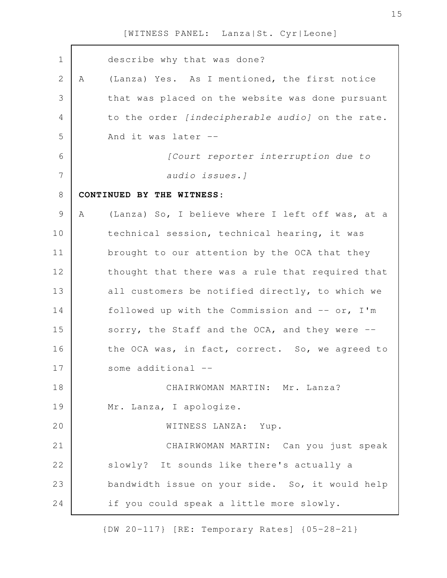describe why that was done? A (Lanza) Yes. As I mentioned, the first notice that was placed on the website was done pursuant to the order [indecipherable audio] on the rate. And it was later -- [Court reporter interruption due to audio issues.] **CONTINUED BY THE WITNESS:** A (Lanza) So, I believe where I left off was, at a technical session, technical hearing, it was brought to our attention by the OCA that they thought that there was a rule that required that all customers be notified directly, to which we followed up with the Commission and  $--$  or, I'm sorry, the Staff and the OCA, and they were  $$ the OCA was, in fact, correct. So, we agreed to some additional --CHAIRWOMAN MARTIN: Mr. Lanza? Mr. Lanza, I apologize. WITNESS LANZA: Yup. CHAIRWOMAN MARTIN: Can you just speak slowly? It sounds like there's actually a bandwidth issue on your side. So, it would help if you could speak a little more slowly. 1 2 3 4 5 6 7 8 9 10 11 12 13 14 15 16 17 18 19 20 21 22 23 24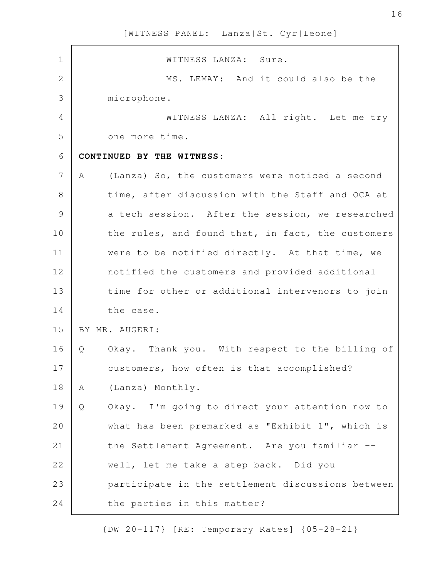| $\mathbf 1$    |   | WITNESS LANZA: Sure.                              |
|----------------|---|---------------------------------------------------|
| $\overline{2}$ |   | MS. LEMAY: And it could also be the               |
| 3              |   | microphone.                                       |
| $\overline{4}$ |   | WITNESS LANZA: All right. Let me try              |
| 5              |   | one more time.                                    |
| $\epsilon$     |   | CONTINUED BY THE WITNESS:                         |
| 7              | A | (Lanza) So, the customers were noticed a second   |
| $\,8\,$        |   | time, after discussion with the Staff and OCA at  |
| 9              |   | a tech session. After the session, we researched  |
| 10             |   | the rules, and found that, in fact, the customers |
| 11             |   | were to be notified directly. At that time, we    |
| 12             |   | notified the customers and provided additional    |
| 13             |   | time for other or additional intervenors to join  |
| 14             |   | the case.                                         |
| 15             |   | BY MR. AUGERI:                                    |
| 16             | Q | Okay. Thank you. With respect to the billing of   |
| $17$           |   | customers, how often is that accomplished?        |
| 18             | Α | (Lanza) Monthly.                                  |
| 19             | Q | Okay. I'm going to direct your attention now to   |
| 20             |   | what has been premarked as "Exhibit 1", which is  |
| 21             |   | the Settlement Agreement. Are you familiar --     |
| 22             |   | well, let me take a step back. Did you            |
| 23             |   | participate in the settlement discussions between |
| 24             |   | the parties in this matter?                       |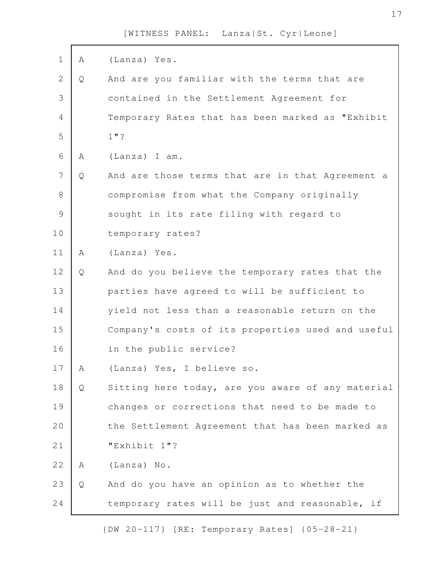| $\mathbf 1$    | Α | (Lanza) Yes.                                      |
|----------------|---|---------------------------------------------------|
| $\overline{2}$ | Q | And are you familiar with the terms that are      |
| 3              |   | contained in the Settlement Agreement for         |
| 4              |   | Temporary Rates that has been marked as "Exhibit  |
| 5              |   | $1"$ ?                                            |
| 6              | Α | (Lanza) I am.                                     |
| $\overline{7}$ | Q | And are those terms that are in that Agreement a  |
| $\,8\,$        |   | compromise from what the Company originally       |
| $\mathcal{G}$  |   | sought in its rate filing with regard to          |
| 10             |   | temporary rates?                                  |
| 11             | Α | (Lanza) Yes.                                      |
| 12             | Q | And do you believe the temporary rates that the   |
| 13             |   | parties have agreed to will be sufficient to      |
| 14             |   | yield not less than a reasonable return on the    |
| 15             |   | Company's costs of its properties used and useful |
| 16             |   | in the public service?                            |
| 17             | Α | (Lanza) Yes, I believe so.                        |
| 18             | Q | Sitting here today, are you aware of any material |
| 19             |   | changes or corrections that need to be made to    |
| 20             |   | the Settlement Agreement that has been marked as  |
| 21             |   | "Exhibit 1"?                                      |
| 22             | A | (Lanza) No.                                       |
| 23             | Q | And do you have an opinion as to whether the      |
| 24             |   | temporary rates will be just and reasonable, if   |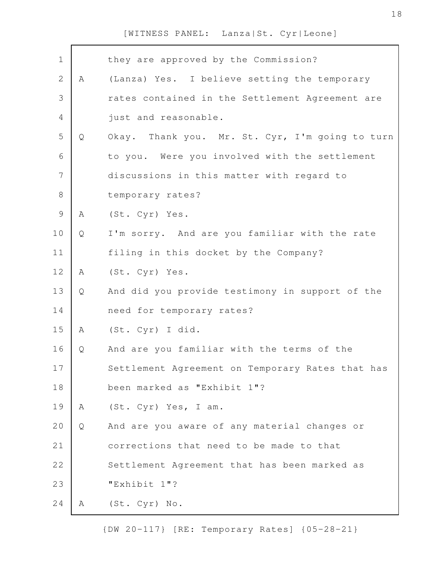| $\mathbf 1$    |   | they are approved by the Commission?             |
|----------------|---|--------------------------------------------------|
| $\overline{2}$ | Α | (Lanza) Yes. I believe setting the temporary     |
| 3              |   | rates contained in the Settlement Agreement are  |
| 4              |   | just and reasonable.                             |
| 5              | Q | Okay. Thank you. Mr. St. Cyr, I'm going to turn  |
| 6              |   | to you. Were you involved with the settlement    |
| $\overline{7}$ |   | discussions in this matter with regard to        |
| $8\,$          |   | temporary rates?                                 |
| $\mathcal{G}$  | Α | (St. Cyr) Yes.                                   |
| 10             | Q | I'm sorry. And are you familiar with the rate    |
| 11             |   | filing in this docket by the Company?            |
| 12             | Α | (St. Cyr) Yes.                                   |
| 13             | Q | And did you provide testimony in support of the  |
| 14             |   | need for temporary rates?                        |
| 15             | Α | (St. Cyr) I did.                                 |
| 16             | Q | And are you familiar with the terms of the       |
| 17             |   | Settlement Agreement on Temporary Rates that has |
| 18             |   | been marked as "Exhibit 1"?                      |
| 19             | A | (St. Cyr) Yes, I am.                             |
| 20             | Q | And are you aware of any material changes or     |
| 21             |   | corrections that need to be made to that         |
| 22             |   | Settlement Agreement that has been marked as     |
| 23             |   | "Exhibit 1"?                                     |
| 24             | A | (St. Cyr) No.                                    |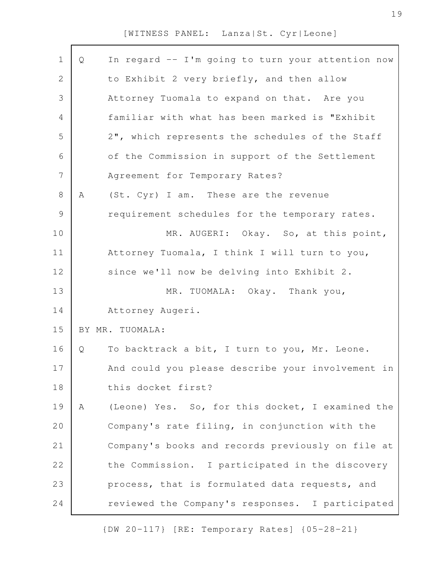| $\mathbf 1$    | Q | In regard -- I'm going to turn your attention now |
|----------------|---|---------------------------------------------------|
| $\mathbf{2}$   |   | to Exhibit 2 very briefly, and then allow         |
| $\mathfrak{Z}$ |   | Attorney Tuomala to expand on that. Are you       |
| 4              |   | familiar with what has been marked is "Exhibit    |
| 5              |   | 2", which represents the schedules of the Staff   |
| 6              |   | of the Commission in support of the Settlement    |
| $\overline{7}$ |   | Agreement for Temporary Rates?                    |
| $8\,$          | Α | (St. Cyr) I am. These are the revenue             |
| $\mathsf 9$    |   | requirement schedules for the temporary rates.    |
| 10             |   | MR. AUGERI: Okay. So, at this point,              |
| 11             |   | Attorney Tuomala, I think I will turn to you,     |
| 12             |   | since we'll now be delving into Exhibit 2.        |
| 13             |   | MR. TUOMALA: Okay. Thank you,                     |
| 14             |   | Attorney Augeri.                                  |
| 15             |   | BY MR. TUOMALA:                                   |
| 16             | Q | To backtrack a bit, I turn to you, Mr. Leone.     |
| 17             |   | And could you please describe your involvement in |
| 18             |   | this docket first?                                |
| 19             | Α | (Leone) Yes. So, for this docket, I examined the  |
| 20             |   | Company's rate filing, in conjunction with the    |
| 21             |   | Company's books and records previously on file at |
| 22             |   | the Commission. I participated in the discovery   |
| 23             |   | process, that is formulated data requests, and    |
| 24             |   | reviewed the Company's responses. I participated  |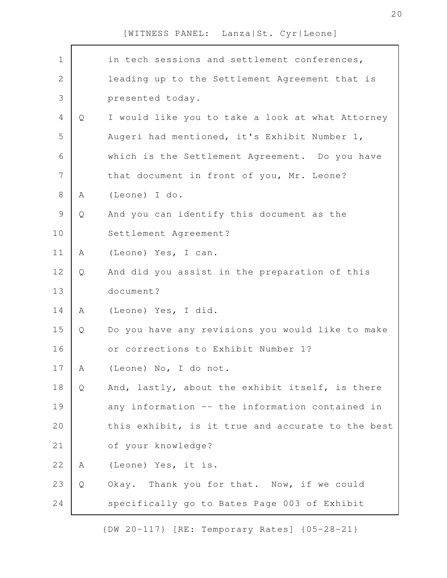| $\mathbf 1$  |   | in tech sessions and settlement conferences,      |
|--------------|---|---------------------------------------------------|
| $\mathbf{2}$ |   | leading up to the Settlement Agreement that is    |
| 3            |   | presented today.                                  |
| 4            | Q | I would like you to take a look at what Attorney  |
| 5            |   | Augeri had mentioned, it's Exhibit Number 1,      |
| 6            |   | which is the Settlement Agreement. Do you have    |
| 7            |   | that document in front of you, Mr. Leone?         |
| 8            | Α | (Leone) I do.                                     |
| $\mathsf 9$  | Q | And you can identify this document as the         |
| 10           |   | Settlement Agreement?                             |
| 11           | A | (Leone) Yes, I can.                               |
| 12           | Q | And did you assist in the preparation of this     |
| 13           |   | document?                                         |
| 14           | A | (Leone) Yes, I did.                               |
| 15           | Q | Do you have any revisions you would like to make  |
| 16           |   | or corrections to Exhibit Number 1?               |
| 17           | Α | (Leone) No, I do not.                             |
| 18           | Q | And, lastly, about the exhibit itself, is there   |
| 19           |   | any information -- the information contained in   |
| 20           |   | this exhibit, is it true and accurate to the best |
| 21           |   | of your knowledge?                                |
| 22           | Α | (Leone) Yes, it is.                               |
| 23           | Q | Okay. Thank you for that. Now, if we could        |
| 24           |   | specifically go to Bates Page 003 of Exhibit      |
|              |   |                                                   |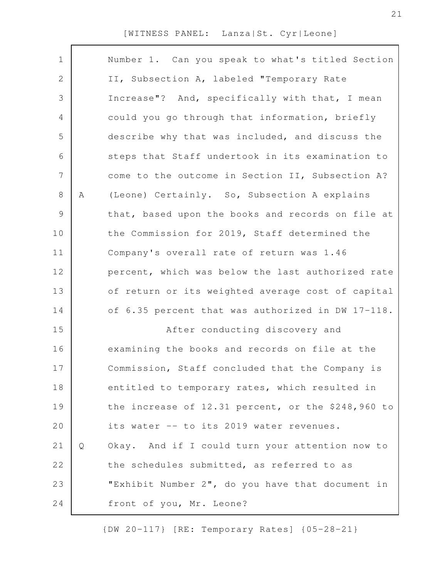| $\mathbf 1$ |   | Number 1. Can you speak to what's titled Section   |
|-------------|---|----------------------------------------------------|
| 2           |   | II, Subsection A, labeled "Temporary Rate          |
| 3           |   | Increase"? And, specifically with that, I mean     |
| 4           |   | could you go through that information, briefly     |
| 5           |   | describe why that was included, and discuss the    |
| 6           |   | steps that Staff undertook in its examination to   |
| 7           |   | come to the outcome in Section II, Subsection A?   |
| 8           | Α | (Leone) Certainly. So, Subsection A explains       |
| 9           |   | that, based upon the books and records on file at  |
| 10          |   | the Commission for 2019, Staff determined the      |
| 11          |   | Company's overall rate of return was 1.46          |
| 12          |   | percent, which was below the last authorized rate  |
| 13          |   | of return or its weighted average cost of capital  |
| 14          |   | of 6.35 percent that was authorized in DW 17-118.  |
| 15          |   | After conducting discovery and                     |
|             |   |                                                    |
| 16          |   | examining the books and records on file at the     |
| 17          |   | Commission, Staff concluded that the Company is    |
| 18          |   | entitled to temporary rates, which resulted in     |
| 19          |   | the increase of 12.31 percent, or the \$248,960 to |
| 20          |   | its water -- to its 2019 water revenues.           |
| 21          | Q | Okay. And if I could turn your attention now to    |
| 22          |   | the schedules submitted, as referred to as         |
| 23          |   | "Exhibit Number 2", do you have that document in   |
| 24          |   | front of you, Mr. Leone?                           |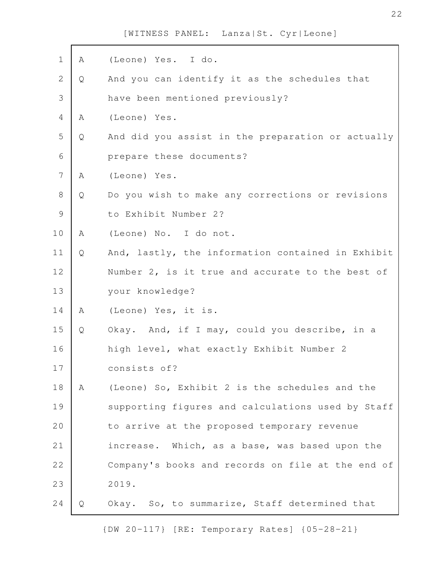| $\mathbf 1$    | Α | (Leone) Yes. I do.                                |
|----------------|---|---------------------------------------------------|
| 2              | Q | And you can identify it as the schedules that     |
| 3              |   | have been mentioned previously?                   |
| $\overline{4}$ | A | (Leone) Yes.                                      |
| 5              | Q | And did you assist in the preparation or actually |
| 6              |   | prepare these documents?                          |
| 7              | Α | (Leone) Yes.                                      |
| 8              | Q | Do you wish to make any corrections or revisions  |
| $\mathcal{G}$  |   | to Exhibit Number 2?                              |
| 10             | Α | (Leone) No. I do not.                             |
| 11             | Q | And, lastly, the information contained in Exhibit |
| 12             |   | Number 2, is it true and accurate to the best of  |
| 13             |   | your knowledge?                                   |
| 14             | Α | (Leone) Yes, it is.                               |
| 15             | Q | Okay. And, if I may, could you describe, in a     |
| 16             |   | high level, what exactly Exhibit Number 2         |
| 17             |   | consists of?                                      |
| 18             | Α | (Leone) So, Exhibit 2 is the schedules and the    |
| 19             |   | supporting figures and calculations used by Staff |
| 20             |   | to arrive at the proposed temporary revenue       |
| 21             |   | increase. Which, as a base, was based upon the    |
| 22             |   | Company's books and records on file at the end of |
| 23             |   | 2019.                                             |
|                |   |                                                   |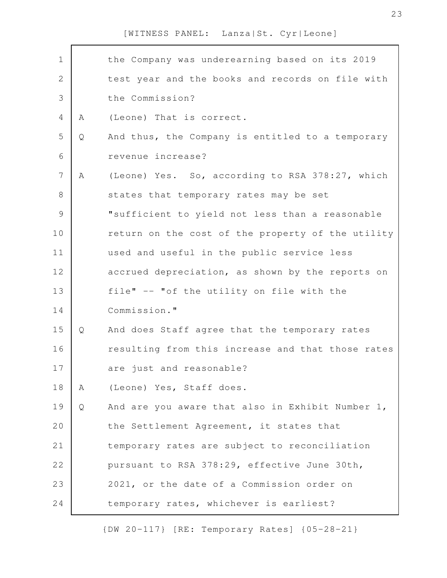| $\mathbf 1$    |   | the Company was underearning based on its 2019    |
|----------------|---|---------------------------------------------------|
| $\mathbf{2}$   |   | test year and the books and records on file with  |
| $\mathfrak{Z}$ |   | the Commission?                                   |
| 4              | A | (Leone) That is correct.                          |
| 5              | Q | And thus, the Company is entitled to a temporary  |
| 6              |   | revenue increase?                                 |
| $\overline{7}$ | A | (Leone) Yes. So, according to RSA 378:27, which   |
| $8\,$          |   | states that temporary rates may be set            |
| $\mathcal{G}$  |   | "sufficient to yield not less than a reasonable   |
| 10             |   | return on the cost of the property of the utility |
| 11             |   | used and useful in the public service less        |
| 12             |   | accrued depreciation, as shown by the reports on  |
| 13             |   | file" -- "of the utility on file with the         |
| 14             |   | Commission."                                      |
| 15             | Q | And does Staff agree that the temporary rates     |
| 16             |   | resulting from this increase and that those rates |
| 17             |   | are just and reasonable?                          |
| 18             | A | (Leone) Yes, Staff does.                          |
| 19             | Q | And are you aware that also in Exhibit Number 1,  |
| 20             |   | the Settlement Agreement, it states that          |
| 21             |   | temporary rates are subject to reconciliation     |
| 22             |   | pursuant to RSA 378:29, effective June 30th,      |
| 23             |   | 2021, or the date of a Commission order on        |
| 24             |   | temporary rates, whichever is earliest?           |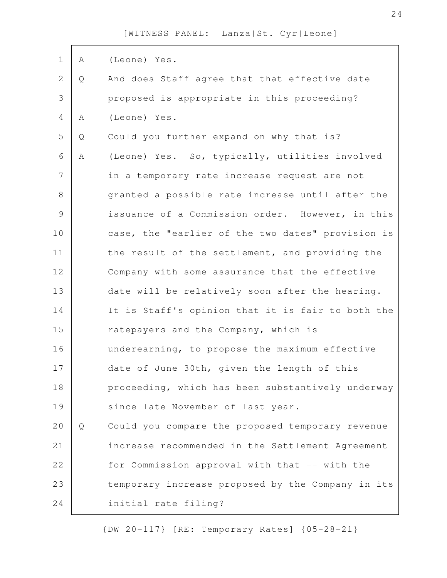| $\mathbf 1$    | A | (Leone) Yes.                                      |
|----------------|---|---------------------------------------------------|
| $\overline{2}$ | Q | And does Staff agree that that effective date     |
| 3              |   | proposed is appropriate in this proceeding?       |
| 4              | Α | (Leone) Yes.                                      |
| 5              | Q | Could you further expand on why that is?          |
| 6              | A | (Leone) Yes. So, typically, utilities involved    |
| 7              |   | in a temporary rate increase request are not      |
| $8\,$          |   | granted a possible rate increase until after the  |
| $\mathsf 9$    |   | issuance of a Commission order. However, in this  |
| 10             |   | case, the "earlier of the two dates" provision is |
| 11             |   | the result of the settlement, and providing the   |
| 12             |   | Company with some assurance that the effective    |
| 13             |   | date will be relatively soon after the hearing.   |
| 14             |   | It is Staff's opinion that it is fair to both the |
| 15             |   | ratepayers and the Company, which is              |
| 16             |   | underearning, to propose the maximum effective    |
| 17             |   | date of June 30th, given the length of this       |
| 18             |   | proceeding, which has been substantively underway |
| 19             |   | since late November of last year.                 |
| 20             | Q | Could you compare the proposed temporary revenue  |
| 21             |   | increase recommended in the Settlement Agreement  |
| 22             |   | for Commission approval with that -- with the     |
| 23             |   | temporary increase proposed by the Company in its |
| 24             |   | initial rate filing?                              |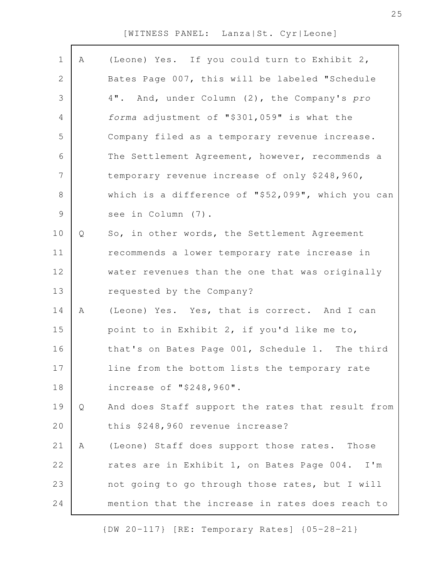| $\mathbf 1$    | A | (Leone) Yes. If you could turn to Exhibit 2,       |
|----------------|---|----------------------------------------------------|
| $\mathbf{2}$   |   | Bates Page 007, this will be labeled "Schedule     |
| 3              |   | 4". And, under Column (2), the Company's pro       |
| 4              |   | forma adjustment of "\$301,059" is what the        |
| 5              |   | Company filed as a temporary revenue increase.     |
| 6              |   | The Settlement Agreement, however, recommends a    |
| $\overline{7}$ |   | temporary revenue increase of only \$248,960,      |
| 8              |   | which is a difference of "\$52,099", which you can |
| $\mathcal{G}$  |   | see in Column (7).                                 |
| 10             | Q | So, in other words, the Settlement Agreement       |
| 11             |   | recommends a lower temporary rate increase in      |
| 12             |   | water revenues than the one that was originally    |
| 13             |   | requested by the Company?                          |
| 14             | A | (Leone) Yes. Yes, that is correct. And I can       |
| 15             |   | point to in Exhibit 2, if you'd like me to,        |
| 16             |   | that's on Bates Page 001, Schedule 1. The third    |
| 17             |   | line from the bottom lists the temporary rate      |
| 18             |   | increase of "\$248,960".                           |
| 19             | Q | And does Staff support the rates that result from  |
| 20             |   | this \$248,960 revenue increase?                   |
| 21             | Α | (Leone) Staff does support those rates.<br>Those   |
| 22             |   | rates are in Exhibit 1, on Bates Page 004. I'm     |
| 23             |   | not going to go through those rates, but I will    |
| 24             |   | mention that the increase in rates does reach to   |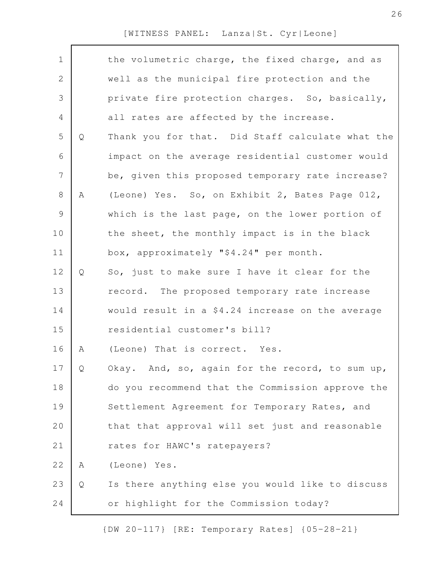| $\mathbf 1$    |   | the volumetric charge, the fixed charge, and as  |
|----------------|---|--------------------------------------------------|
| 2              |   | well as the municipal fire protection and the    |
| 3              |   | private fire protection charges. So, basically,  |
| 4              |   | all rates are affected by the increase.          |
| 5              | Q | Thank you for that. Did Staff calculate what the |
| 6              |   | impact on the average residential customer would |
| $\overline{7}$ |   | be, given this proposed temporary rate increase? |
| 8              | Α | (Leone) Yes. So, on Exhibit 2, Bates Page 012,   |
| 9              |   | which is the last page, on the lower portion of  |
| 10             |   | the sheet, the monthly impact is in the black    |
| 11             |   | box, approximately "\$4.24" per month.           |
| 12             | Q | So, just to make sure I have it clear for the    |
| 13             |   | record. The proposed temporary rate increase     |
| 14             |   | would result in a \$4.24 increase on the average |
| 15             |   | residential customer's bill?                     |
| 16             | Α | (Leone) That is correct. Yes.                    |
| 17             | Q | Okay. And, so, again for the record, to sum up,  |
| 18             |   | do you recommend that the Commission approve the |
| 19             |   | Settlement Agreement for Temporary Rates, and    |
| 20             |   | that that approval will set just and reasonable  |
| 21             |   | rates for HAWC's ratepayers?                     |
| 22             | Α | (Leone) Yes.                                     |
| 23             | Q | Is there anything else you would like to discuss |
| 24             |   | or highlight for the Commission today?           |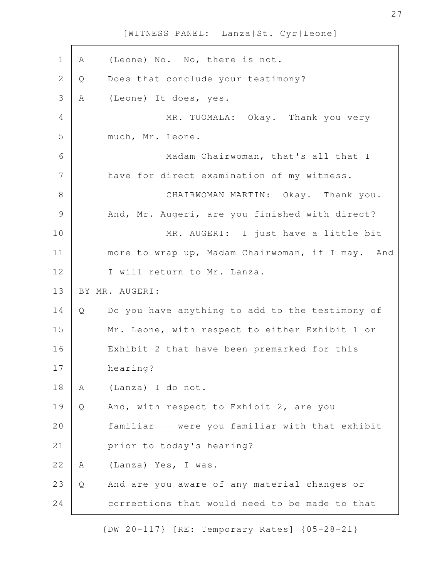| 1             | Α | (Leone) No. No, there is not.                    |
|---------------|---|--------------------------------------------------|
| $\mathbf{2}$  | Q | Does that conclude your testimony?               |
| 3             | Α | (Leone) It does, yes.                            |
| 4             |   | MR. TUOMALA: Okay. Thank you very                |
| 5             |   | much, Mr. Leone.                                 |
| 6             |   | Madam Chairwoman, that's all that I              |
| 7             |   | have for direct examination of my witness.       |
| $8\,$         |   | CHAIRWOMAN MARTIN: Okay. Thank you.              |
| $\mathcal{G}$ |   | And, Mr. Augeri, are you finished with direct?   |
| 10            |   | MR. AUGERI: I just have a little bit             |
| 11            |   | more to wrap up, Madam Chairwoman, if I may. And |
| 12            |   | I will return to Mr. Lanza.                      |
| 13            |   | BY MR. AUGERI:                                   |
| 14            | Q | Do you have anything to add to the testimony of  |
| 15            |   | Mr. Leone, with respect to either Exhibit 1 or   |
| 16            |   | Exhibit 2 that have been premarked for this      |
| 17            |   | hearing?                                         |
| 18            | Α | (Lanza) I do not.                                |
| 19            | Q | And, with respect to Exhibit 2, are you          |
| 20            |   | familiar -- were you familiar with that exhibit  |
| 21            |   | prior to today's hearing?                        |
| 22            | Α | (Lanza) Yes, I was.                              |
| 23            | Q | And are you aware of any material changes or     |
| 24            |   | corrections that would need to be made to that   |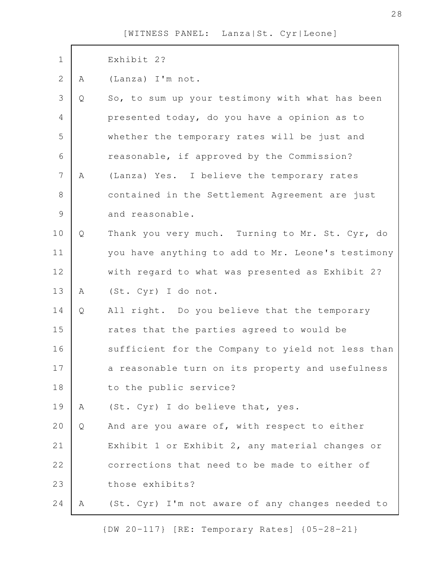| $1\,$          |   | Exhibit 2?                                        |
|----------------|---|---------------------------------------------------|
| $\overline{2}$ | Α | (Lanza) I'm not.                                  |
| 3              | Q | So, to sum up your testimony with what has been   |
| $\overline{4}$ |   | presented today, do you have a opinion as to      |
| 5              |   | whether the temporary rates will be just and      |
| 6              |   | reasonable, if approved by the Commission?        |
| $\overline{7}$ | Α | (Lanza) Yes. I believe the temporary rates        |
| 8              |   | contained in the Settlement Agreement are just    |
| $\mathcal{G}$  |   | and reasonable.                                   |
| $10$           | Q | Thank you very much. Turning to Mr. St. Cyr, do   |
| 11             |   | you have anything to add to Mr. Leone's testimony |
| 12             |   | with regard to what was presented as Exhibit 2?   |
| 13             | A | (St. Cyr) I do not.                               |
| 14             | Q | All right. Do you believe that the temporary      |
| 15             |   | rates that the parties agreed to would be         |
| 16             |   | sufficient for the Company to yield not less than |
| 17             |   | a reasonable turn on its property and usefulness  |
| 18             |   | to the public service?                            |
| 19             | A | (St. Cyr) I do believe that, yes.                 |
| 20             | Q | And are you aware of, with respect to either      |
| 21             |   | Exhibit 1 or Exhibit 2, any material changes or   |
| 22             |   | corrections that need to be made to either of     |
| 23             |   | those exhibits?                                   |
| 24             | A | (St. Cyr) I'm not aware of any changes needed to  |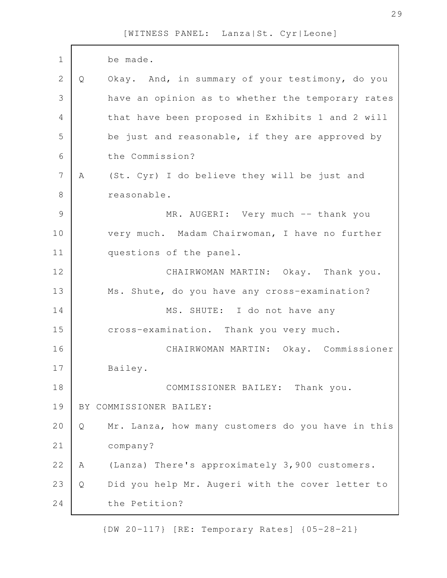| $\mathbf 1$   |   | be made.                                          |
|---------------|---|---------------------------------------------------|
| $\mathbf{2}$  | Q | Okay. And, in summary of your testimony, do you   |
| 3             |   | have an opinion as to whether the temporary rates |
| 4             |   | that have been proposed in Exhibits 1 and 2 will  |
| 5             |   | be just and reasonable, if they are approved by   |
| 6             |   | the Commission?                                   |
| 7             | Α | (St. Cyr) I do believe they will be just and      |
| 8             |   | reasonable.                                       |
| $\mathcal{G}$ |   | MR. AUGERI: Very much -- thank you                |
| 10            |   | very much. Madam Chairwoman, I have no further    |
| 11            |   | questions of the panel.                           |
| 12            |   | CHAIRWOMAN MARTIN: Okay. Thank you.               |
| 13            |   | Ms. Shute, do you have any cross-examination?     |
| 14            |   | MS. SHUTE: I do not have any                      |
| 15            |   | cross-examination. Thank you very much.           |
| 16            |   | CHAIRWOMAN MARTIN: Okay. Commissioner             |
| 17            |   | Bailey.                                           |
| 18            |   | COMMISSIONER BAILEY: Thank you.                   |
| 19            |   | BY COMMISSIONER BAILEY:                           |
| 20            | Q | Mr. Lanza, how many customers do you have in this |
| 21            |   | company?                                          |
| 22            | Α | (Lanza) There's approximately 3,900 customers.    |
| 23            | Q | Did you help Mr. Augeri with the cover letter to  |
| 24            |   | the Petition?                                     |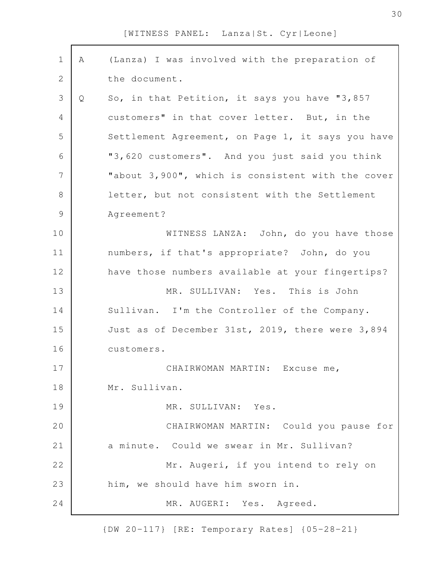| $\mathbf 1$    | Α | (Lanza) I was involved with the preparation of    |
|----------------|---|---------------------------------------------------|
| 2              |   | the document.                                     |
| 3              | Q | So, in that Petition, it says you have "3,857     |
| 4              |   | customers" in that cover letter. But, in the      |
| 5              |   | Settlement Agreement, on Page 1, it says you have |
| 6              |   | "3,620 customers". And you just said you think    |
| $\overline{7}$ |   | "about 3,900", which is consistent with the cover |
| $8\,$          |   | letter, but not consistent with the Settlement    |
| $\mathsf 9$    |   | Agreement?                                        |
| 10             |   | WITNESS LANZA: John, do you have those            |
| 11             |   | numbers, if that's appropriate? John, do you      |
| 12             |   | have those numbers available at your fingertips?  |
| 13             |   | MR. SULLIVAN: Yes. This is John                   |
| 14             |   | Sullivan. I'm the Controller of the Company.      |
| 15             |   | Just as of December 31st, 2019, there were 3,894  |
| 16             |   | customers.                                        |
| 17             |   | CHAIRWOMAN MARTIN: Excuse me,                     |
| 18             |   | Mr. Sullivan.                                     |
| 19             |   | MR. SULLIVAN: Yes.                                |
| 20             |   | CHAIRWOMAN MARTIN: Could you pause for            |
| 21             |   | a minute. Could we swear in Mr. Sullivan?         |
| 22             |   | Mr. Augeri, if you intend to rely on              |
| 23             |   | him, we should have him sworn in.                 |
| 24             |   | MR. AUGERI: Yes. Agreed.                          |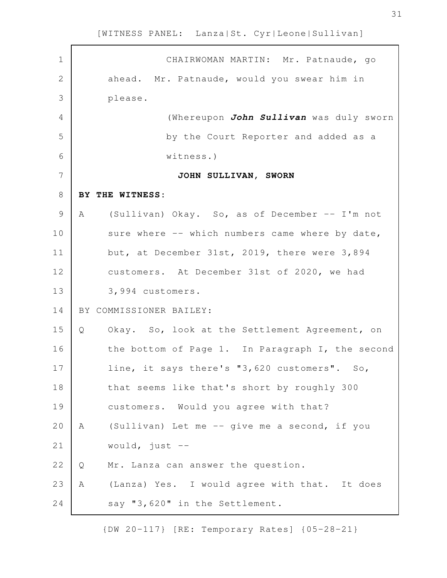| $\mathbf 1$    | CHAIRWOMAN MARTIN: Mr. Patnaude, go                 |
|----------------|-----------------------------------------------------|
| $\mathbf{2}$   | ahead. Mr. Patnaude, would you swear him in         |
| $\mathfrak{Z}$ | please.                                             |
| $\overline{4}$ | (Whereupon John Sullivan was duly sworn             |
| 5              | by the Court Reporter and added as a                |
| 6              | witness.)                                           |
| 7              | JOHN SULLIVAN, SWORN                                |
| $8\,$          | BY THE WITNESS:                                     |
| $\mathcal{G}$  | (Sullivan) Okay. So, as of December -- I'm not<br>A |
| 10             | sure where -- which numbers came where by date,     |
| 11             | but, at December 31st, 2019, there were 3,894       |
| 12             | customers. At December 31st of 2020, we had         |
| 13             | 3,994 customers.                                    |
| 14             | BY COMMISSIONER BAILEY:                             |
| 15             | Okay. So, look at the Settlement Agreement, on<br>Q |
| 16             | the bottom of Page 1. In Paragraph I, the second    |
| 17             | line, it says there's "3,620 customers". So,        |
| 18             | that seems like that's short by roughly 300         |
| 19             | customers. Would you agree with that?               |
| 20             | (Sullivan) Let me -- give me a second, if you<br>Α  |
| 21             | would, just $--$                                    |
| 22             | Mr. Lanza can answer the question.<br>Q             |
| 23             | (Lanza) Yes. I would agree with that. It does<br>Α  |
| 24             | say "3,620" in the Settlement.                      |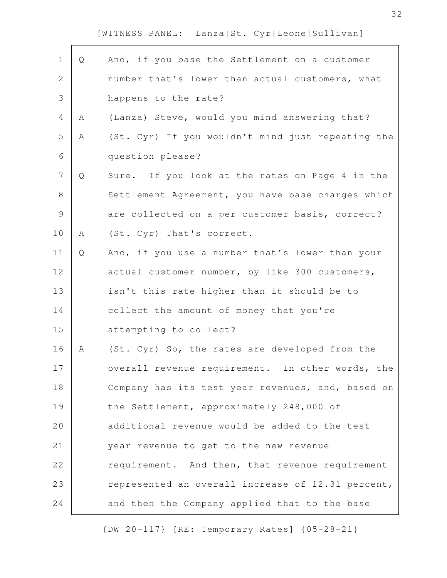| $\mathbf 1$    | Q | And, if you base the Settlement on a customer     |
|----------------|---|---------------------------------------------------|
| $\mathbf{2}$   |   | number that's lower than actual customers, what   |
| 3              |   | happens to the rate?                              |
| $\overline{4}$ | Α | (Lanza) Steve, would you mind answering that?     |
| 5              | Α | (St. Cyr) If you wouldn't mind just repeating the |
| 6              |   | question please?                                  |
| $\overline{7}$ | Q | Sure. If you look at the rates on Page 4 in the   |
| 8              |   | Settlement Agreement, you have base charges which |
| $\mathcal{G}$  |   | are collected on a per customer basis, correct?   |
| 10             | Α | (St. Cyr) That's correct.                         |
| 11             | Q | And, if you use a number that's lower than your   |
| 12             |   | actual customer number, by like 300 customers,    |
| 13             |   | isn't this rate higher than it should be to       |
| 14             |   | collect the amount of money that you're           |
| 15             |   | attempting to collect?                            |
| 16             | А | (St. Cyr) So, the rates are developed from the    |
| 17             |   | overall revenue requirement. In other words, the  |
| 18             |   | Company has its test year revenues, and, based on |
| 19             |   | the Settlement, approximately 248,000 of          |
| 20             |   | additional revenue would be added to the test     |
| 21             |   | year revenue to get to the new revenue            |
| 22             |   | requirement. And then, that revenue requirement   |
| 23             |   | represented an overall increase of 12.31 percent, |
| 24             |   | and then the Company applied that to the base     |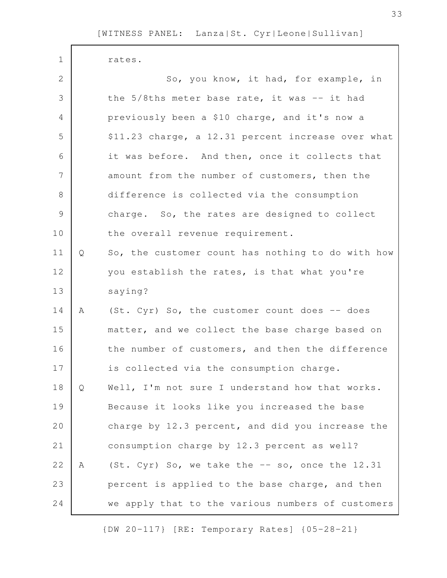rates. So, you know, it had, for example, in the 5/8ths meter base rate, it was -- it had previously been a \$10 charge, and it's now a \$11.23 charge, a 12.31 percent increase over what it was before. And then, once it collects that amount from the number of customers, then the difference is collected via the consumption charge. So, the rates are designed to collect the overall revenue requirement. Q So, the customer count has nothing to do with how you establish the rates, is that what you're saying? A (St. Cyr) So, the customer count does -- does matter, and we collect the base charge based on the number of customers, and then the difference is collected via the consumption charge. Q Well, I'm not sure I understand how that works. Because it looks like you increased the base charge by 12.3 percent, and did you increase the consumption charge by 12.3 percent as well? A (St. Cyr) So, we take the -- so, once the 12.31 percent is applied to the base charge, and then we apply that to the various numbers of customers 1 2 3 4 5 6 7 8 9 10 11 12 13 14 15 16 17 18 19 20 21 22 23 24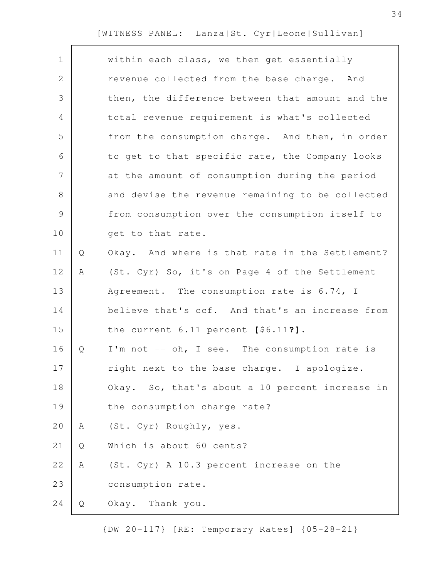| $\mathbf 1$   |   | within each class, we then get essentially       |
|---------------|---|--------------------------------------------------|
| 2             |   | revenue collected from the base charge. And      |
| 3             |   | then, the difference between that amount and the |
| 4             |   | total revenue requirement is what's collected    |
| 5             |   | from the consumption charge. And then, in order  |
| 6             |   | to get to that specific rate, the Company looks  |
| 7             |   | at the amount of consumption during the period   |
| 8             |   | and devise the revenue remaining to be collected |
| $\mathcal{G}$ |   | from consumption over the consumption itself to  |
| 10            |   | get to that rate.                                |
| 11            | Q | Okay. And where is that rate in the Settlement?  |
| 12            | Α | (St. Cyr) So, it's on Page 4 of the Settlement   |
| 13            |   | Agreement. The consumption rate is 6.74, I       |
| 14            |   | believe that's ccf. And that's an increase from  |
| 15            |   | the current 6.11 percent [\$6.11?].              |
| 16            | Q | I'm not -- oh, I see. The consumption rate is    |
| 17            |   | right next to the base charge. I apologize.      |
| 18            |   | Okay. So, that's about a 10 percent increase in  |
| 19            |   | the consumption charge rate?                     |
| 20            | Α | (St. Cyr) Roughly, yes.                          |
| 21            | Q | Which is about 60 cents?                         |
| 22            | Α | (St. Cyr) A 10.3 percent increase on the         |
| 23            |   | consumption rate.                                |
| 24            | Q | Okay. Thank you.                                 |
|               |   |                                                  |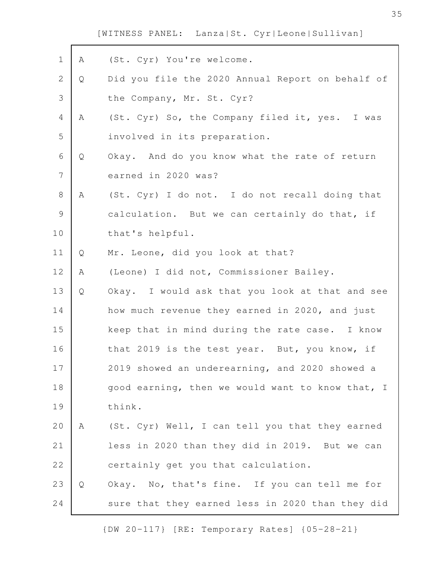| $\mathbf 1$    | Α | (St. Cyr) You're welcome.                        |
|----------------|---|--------------------------------------------------|
| $\mathbf{2}$   | Q | Did you file the 2020 Annual Report on behalf of |
| $\mathcal{S}$  |   | the Company, Mr. St. Cyr?                        |
| $\overline{4}$ | A | (St. Cyr) So, the Company filed it, yes. I was   |
| 5              |   | involved in its preparation.                     |
| 6              | Q | Okay. And do you know what the rate of return    |
| $\overline{7}$ |   | earned in 2020 was?                              |
| $8\,$          | A | (St. Cyr) I do not. I do not recall doing that   |
| 9              |   | calculation. But we can certainly do that, if    |
| 10             |   | that's helpful.                                  |
| 11             | Q | Mr. Leone, did you look at that?                 |
| 12             | Α | (Leone) I did not, Commissioner Bailey.          |
| 13             | Q | Okay. I would ask that you look at that and see  |
| 14             |   | how much revenue they earned in 2020, and just   |
| 15             |   | keep that in mind during the rate case. I know   |
| 16             |   | that 2019 is the test year. But, you know, if    |
| 17             |   | 2019 showed an underearning, and 2020 showed a   |
| 18             |   | good earning, then we would want to know that, I |
| 19             |   | think.                                           |
| 20             | A | (St. Cyr) Well, I can tell you that they earned  |
| 21             |   | less in 2020 than they did in 2019. But we can   |
| 22             |   | certainly get you that calculation.              |
| 23             | Q | Okay. No, that's fine. If you can tell me for    |
| 24             |   | sure that they earned less in 2020 than they did |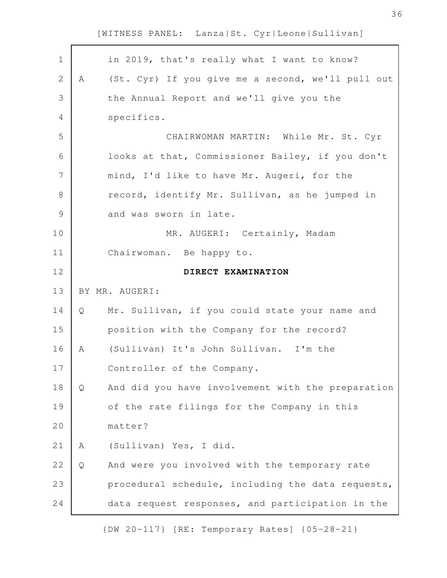$\mathbf{r}$ 

| $\mathbf 1$  |   | in 2019, that's really what I want to know?       |
|--------------|---|---------------------------------------------------|
| $\mathbf{2}$ | A | (St. Cyr) If you give me a second, we'll pull out |
| 3            |   | the Annual Report and we'll give you the          |
| 4            |   | specifics.                                        |
| 5            |   | CHAIRWOMAN MARTIN: While Mr. St. Cyr              |
| 6            |   | looks at that, Commissioner Bailey, if you don't  |
| 7            |   | mind, I'd like to have Mr. Augeri, for the        |
| $\,8\,$      |   | record, identify Mr. Sullivan, as he jumped in    |
| $\mathsf 9$  |   | and was sworn in late.                            |
| 10           |   | MR. AUGERI: Certainly, Madam                      |
| 11           |   | Chairwoman. Be happy to.                          |
| 12           |   | DIRECT EXAMINATION                                |
|              |   |                                                   |
| 13           |   | BY MR. AUGERI:                                    |
| 14           | Q | Mr. Sullivan, if you could state your name and    |
| 15           |   | position with the Company for the record?         |
| 16           | Α | (Sullivan) It's John Sullivan. I'm the            |
| 17           |   | Controller of the Company.                        |
| 18           | Q | And did you have involvement with the preparation |
| 19           |   | of the rate filings for the Company in this       |
| 20           |   | matter?                                           |
| 21           | Α | (Sullivan) Yes, I did.                            |
| 22           | Q | And were you involved with the temporary rate     |
| 23           |   | procedural schedule, including the data requests, |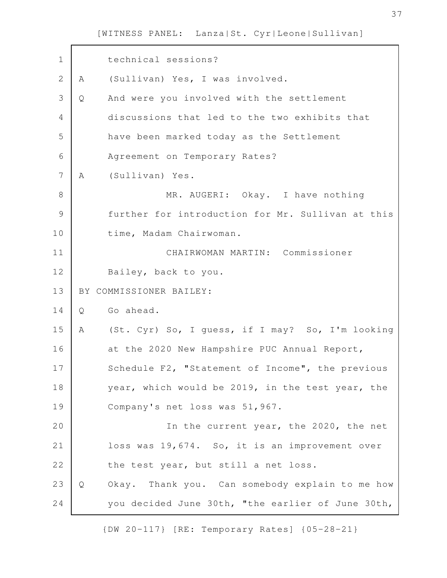| $\mathbf 1$   |   | technical sessions?                               |
|---------------|---|---------------------------------------------------|
| $\mathbf{2}$  | A | (Sullivan) Yes, I was involved.                   |
| 3             | Q | And were you involved with the settlement         |
| 4             |   | discussions that led to the two exhibits that     |
| 5             |   | have been marked today as the Settlement          |
| 6             |   | Agreement on Temporary Rates?                     |
| 7             | A | (Sullivan) Yes.                                   |
| 8             |   | MR. AUGERI: Okay. I have nothing                  |
| $\mathcal{G}$ |   | further for introduction for Mr. Sullivan at this |
| 10            |   | time, Madam Chairwoman.                           |
| 11            |   | CHAIRWOMAN MARTIN: Commissioner                   |
| 12            |   | Bailey, back to you.                              |
| 13            |   | BY COMMISSIONER BAILEY:                           |
| 14            | Q | Go ahead.                                         |
| 15            | A | (St. Cyr) So, I guess, if I may? So, I'm looking  |
| 16            |   | at the 2020 New Hampshire PUC Annual Report,      |
| 17            |   | Schedule F2, "Statement of Income", the previous  |
| 18            |   | year, which would be 2019, in the test year, the  |
| 19            |   | Company's net loss was 51,967.                    |
| 20            |   | In the current year, the 2020, the net            |
| 21            |   | loss was 19,674. So, it is an improvement over    |
| 22            |   | the test year, but still a net loss.              |
| 23            | Q | Okay. Thank you. Can somebody explain to me how   |
| 24            |   | you decided June 30th, "the earlier of June 30th, |

{DW 20-117} [RE: Temporary Rates] {05-28-21}

h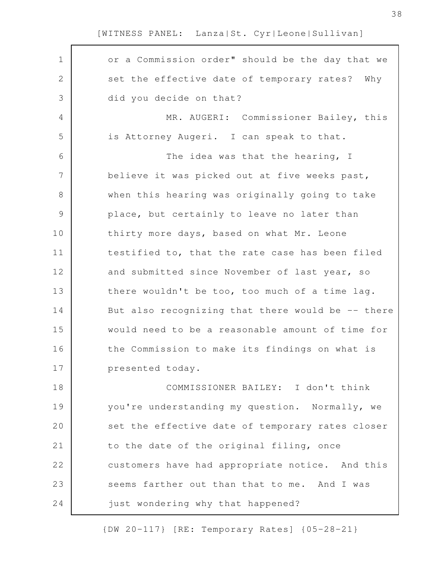| $\mathbf 1$   | or a Commission order" should be the day that we  |
|---------------|---------------------------------------------------|
| $\mathbf{2}$  | set the effective date of temporary rates? Why    |
| 3             | did you decide on that?                           |
| 4             | MR. AUGERI: Commissioner Bailey, this             |
| 5             | is Attorney Augeri. I can speak to that.          |
| 6             | The idea was that the hearing, I                  |
| 7             | believe it was picked out at five weeks past,     |
| 8             | when this hearing was originally going to take    |
| $\mathcal{G}$ | place, but certainly to leave no later than       |
| 10            | thirty more days, based on what Mr. Leone         |
| 11            | testified to, that the rate case has been filed   |
| 12            | and submitted since November of last year, so     |
| 13            | there wouldn't be too, too much of a time lag.    |
| 14            | But also recognizing that there would be -- there |
| 15            | would need to be a reasonable amount of time for  |
| 16            | the Commission to make its findings on what is    |
| 17            | presented today.                                  |
| 18            | COMMISSIONER BAILEY: I don't think                |
| 19            | you're understanding my question. Normally, we    |
| 20            | set the effective date of temporary rates closer  |
| 21            | to the date of the original filing, once          |
| 22            | customers have had appropriate notice. And this   |
| 23            | seems farther out than that to me. And I was      |
| 24            | just wondering why that happened?                 |

{DW 20-117} [RE: Temporary Rates] {05-28-21}

38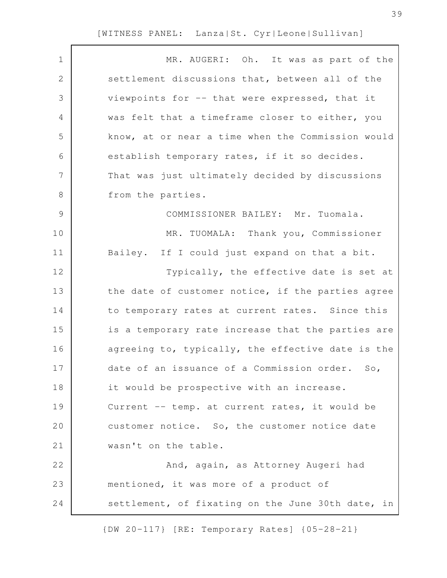| $\mathbf 1$    | MR. AUGERI: Oh. It was as part of the             |
|----------------|---------------------------------------------------|
| $\mathbf{2}$   | settlement discussions that, between all of the   |
| 3              | viewpoints for -- that were expressed, that it    |
| $\overline{4}$ | was felt that a timeframe closer to either, you   |
| 5              | know, at or near a time when the Commission would |
| 6              | establish temporary rates, if it so decides.      |
| 7              | That was just ultimately decided by discussions   |
| $8\,$          | from the parties.                                 |
| $\mathcal{G}$  | COMMISSIONER BAILEY: Mr. Tuomala.                 |
| 10             | MR. TUOMALA: Thank you, Commissioner              |
| 11             | Bailey. If I could just expand on that a bit.     |
| 12             | Typically, the effective date is set at           |
| 13             | the date of customer notice, if the parties agree |
| 14             | to temporary rates at current rates. Since this   |
| 15             | is a temporary rate increase that the parties are |
| 16             | agreeing to, typically, the effective date is the |
| 17             | date of an issuance of a Commission order. So,    |
| 18             | it would be prospective with an increase.         |
| 19             | Current -- temp. at current rates, it would be    |
| 20             | customer notice. So, the customer notice date     |
| 21             | wasn't on the table.                              |
| 22             | And, again, as Attorney Augeri had                |
| 23             | mentioned, it was more of a product of            |
| 24             | settlement, of fixating on the June 30th date, in |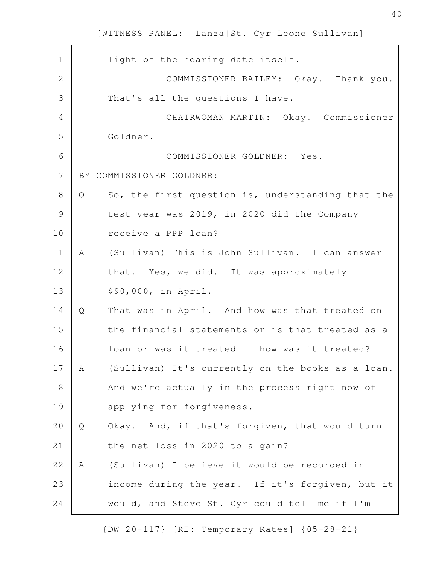| $\mathbf 1$    |   | light of the hearing date itself.                 |
|----------------|---|---------------------------------------------------|
| $\overline{2}$ |   | COMMISSIONER BAILEY: Okay. Thank you.             |
| 3              |   | That's all the questions I have.                  |
| $\overline{4}$ |   | CHAIRWOMAN MARTIN: Okay. Commissioner             |
| 5              |   | Goldner.                                          |
| 6              |   | COMMISSIONER GOLDNER: Yes.                        |
| $\overline{7}$ |   | BY COMMISSIONER GOLDNER:                          |
| $\,8\,$        | Q | So, the first question is, understanding that the |
| $\mathcal{G}$  |   | test year was 2019, in 2020 did the Company       |
| 10             |   | receive a PPP loan?                               |
| 11             | A | (Sullivan) This is John Sullivan. I can answer    |
| 12             |   | that. Yes, we did. It was approximately           |
| 13             |   | \$90,000, in April.                               |
| 14             | Q | That was in April. And how was that treated on    |
| 15             |   | the financial statements or is that treated as a  |
| 16             |   | loan or was it treated -- how was it treated?     |
| 17             | A | (Sullivan) It's currently on the books as a loan. |
| 18             |   | And we're actually in the process right now of    |
| 19             |   | applying for forgiveness.                         |
| 20             | Q | Okay. And, if that's forgiven, that would turn    |
| 21             |   | the net loss in 2020 to a gain?                   |
| 22             | Α | (Sullivan) I believe it would be recorded in      |
| 23             |   | income during the year. If it's forgiven, but it  |
| 24             |   | would, and Steve St. Cyr could tell me if I'm     |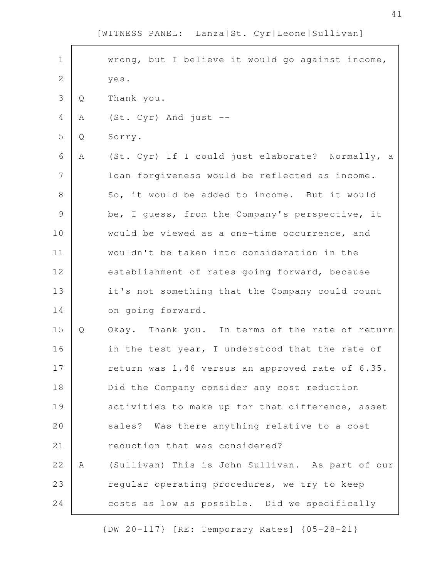wrong, but I believe it would go against income, yes. Q Thank you. A (St. Cyr) And just --Q Sorry. A (St. Cyr) If I could just elaborate? Normally, a loan forgiveness would be reflected as income. So, it would be added to income. But it would be, I guess, from the Company's perspective, it would be viewed as a one-time occurrence, and wouldn't be taken into consideration in the establishment of rates going forward, because it's not something that the Company could count on going forward. Q Okay. Thank you. In terms of the rate of return in the test year, I understood that the rate of return was 1.46 versus an approved rate of 6.35. Did the Company consider any cost reduction activities to make up for that difference, asset sales? Was there anything relative to a cost reduction that was considered? A (Sullivan) This is John Sullivan. As part of our regular operating procedures, we try to keep costs as low as possible. Did we specifically 1 2 3 4 5 6 7 8 9 10 11 12 13 14 15 16 17 18 19 20 21 22 23 24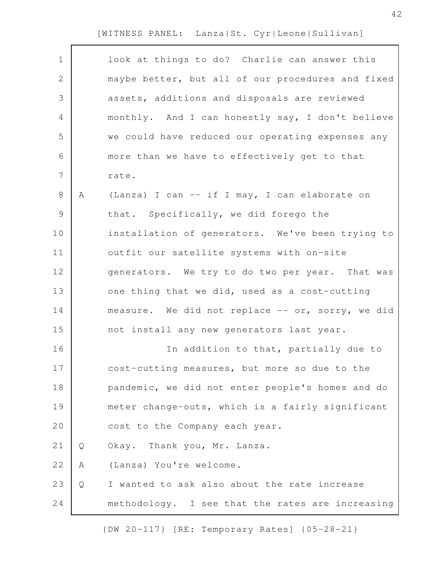| $\mathbf 1$    |   | look at things to do? Charlie can answer this     |
|----------------|---|---------------------------------------------------|
| $\mathbf{2}$   |   | maybe better, but all of our procedures and fixed |
| 3              |   | assets, additions and disposals are reviewed      |
| $\overline{4}$ |   | monthly. And I can honestly say, I don't believe  |
| 5              |   | we could have reduced our operating expenses any  |
| 6              |   | more than we have to effectively get to that      |
| $\overline{7}$ |   | rate.                                             |
| $\,8\,$        | A | (Lanza) I can -- if I may, I can elaborate on     |
| $\mathsf 9$    |   | that. Specifically, we did forego the             |
| 10             |   | installation of generators. We've been trying to  |
| 11             |   | outfit our satellite systems with on-site         |
| 12             |   | generators. We try to do two per year. That was   |
| 13             |   | one thing that we did, used as a cost-cutting     |
| 14             |   | measure. We did not replace -- or, sorry, we did  |
| 15             |   | not install any new generators last year.         |
| 16             |   | In addition to that, partially due to             |
| 17             |   | cost-cutting measures, but more so due to the     |
| 18             |   | pandemic, we did not enter people's homes and do  |
| 19             |   | meter change-outs, which is a fairly significant  |
| 20             |   | cost to the Company each year.                    |
| 21             | Q | Okay. Thank you, Mr. Lanza.                       |
| 22             | Α | (Lanza) You're welcome.                           |
| 23             | Q | I wanted to ask also about the rate increase      |
| 24             |   | methodology. I see that the rates are increasing  |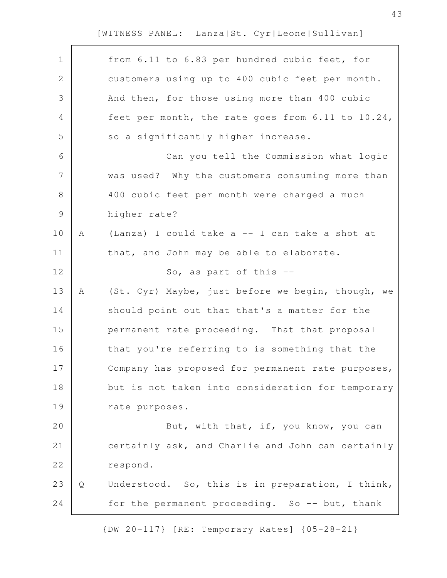| $\mathbf 1$    |   | from 6.11 to 6.83 per hundred cubic feet, for     |
|----------------|---|---------------------------------------------------|
| $\sqrt{2}$     |   | customers using up to 400 cubic feet per month.   |
| $\mathfrak{Z}$ |   | And then, for those using more than 400 cubic     |
| 4              |   | feet per month, the rate goes from 6.11 to 10.24, |
| 5              |   | so a significantly higher increase.               |
| 6              |   | Can you tell the Commission what logic            |
| $\overline{7}$ |   | was used? Why the customers consuming more than   |
| $8\,$          |   | 400 cubic feet per month were charged a much      |
| $\mathcal{G}$  |   | higher rate?                                      |
| 10             | Α | (Lanza) I could take a -- I can take a shot at    |
| 11             |   | that, and John may be able to elaborate.          |
| 12             |   | So, as part of this $-$ -                         |
| 13             | A | (St. Cyr) Maybe, just before we begin, though, we |
| 14             |   | should point out that that's a matter for the     |
| 15             |   | permanent rate proceeding. That that proposal     |
| 16             |   | that you're referring to is something that the    |
| 17             |   | Company has proposed for permanent rate purposes, |
| 18             |   | but is not taken into consideration for temporary |
| 19             |   | rate purposes.                                    |
| 20             |   | But, with that, if, you know, you can             |
| 21             |   | certainly ask, and Charlie and John can certainly |
| 22             |   | respond.                                          |
| 23             | Q | Understood. So, this is in preparation, I think,  |
| 24             |   | for the permanent proceeding. So -- but, thank    |
|                |   |                                                   |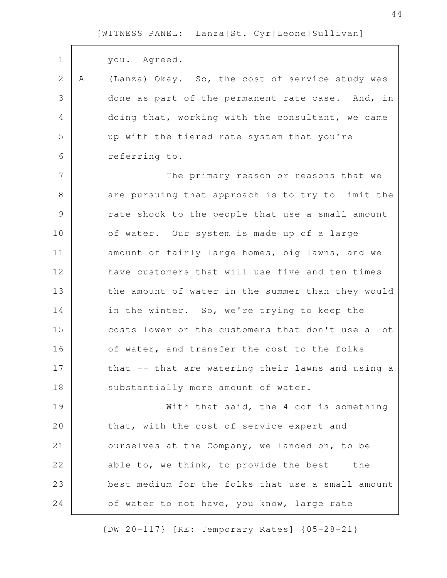| $\mathbf 1$    |   | you. Agreed.                                      |
|----------------|---|---------------------------------------------------|
| $\mathbf{2}$   | A | (Lanza) Okay. So, the cost of service study was   |
| 3              |   | done as part of the permanent rate case. And, in  |
| 4              |   | doing that, working with the consultant, we came  |
| 5              |   | up with the tiered rate system that you're        |
| 6              |   | referring to.                                     |
| $\overline{7}$ |   | The primary reason or reasons that we             |
| 8              |   | are pursuing that approach is to try to limit the |
| $\mathcal{G}$  |   | rate shock to the people that use a small amount  |
| 10             |   | of water. Our system is made up of a large        |
| 11             |   | amount of fairly large homes, big lawns, and we   |
| 12             |   | have customers that will use five and ten times   |
| 13             |   | the amount of water in the summer than they would |
| 14             |   | in the winter. So, we're trying to keep the       |
| 15             |   | costs lower on the customers that don't use a lot |
| 16             |   | of water, and transfer the cost to the folks      |
| 17             |   | that -- that are watering their lawns and using a |
| 18             |   | substantially more amount of water.               |
| 19             |   | With that said, the 4 ccf is something            |
| 20             |   | that, with the cost of service expert and         |
| 21             |   | ourselves at the Company, we landed on, to be     |
| 22             |   | able to, we think, to provide the best $-$ - the  |
| 23             |   | best medium for the folks that use a small amount |
| 24             |   | of water to not have, you know, large rate        |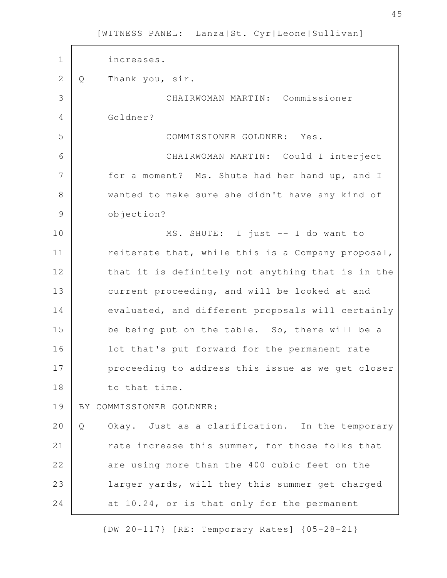increases. Q Thank you, sir. CHAIRWOMAN MARTIN: Commissioner Goldner? COMMISSIONER GOLDNER: Yes. CHAIRWOMAN MARTIN: Could I interject for a moment? Ms. Shute had her hand up, and I wanted to make sure she didn't have any kind of objection? MS. SHUTE: I just -- I do want to reiterate that, while this is a Company proposal, that it is definitely not anything that is in the current proceeding, and will be looked at and evaluated, and different proposals will certainly be being put on the table. So, there will be a lot that's put forward for the permanent rate proceeding to address this issue as we get closer to that time. BY COMMISSIONER GOLDNER: Q Okay. Just as a clarification. In the temporary rate increase this summer, for those folks that are using more than the 400 cubic feet on the larger yards, will they this summer get charged at 10.24, or is that only for the permanent 1 2 3 4 5 6 7 8 9 10 11 12 13 14 15 16 17 18 19 20 21 22 23 24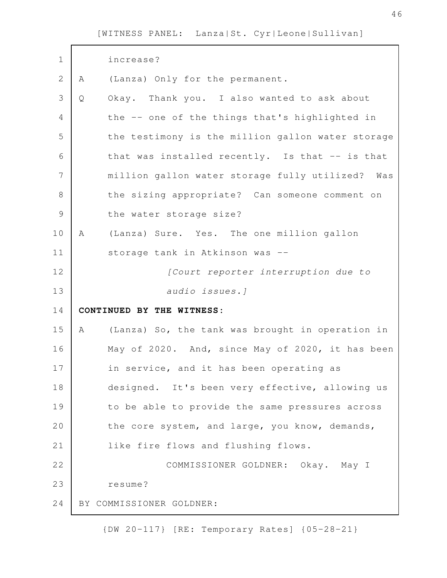| $\mathbf 1$   |   | increase?                                         |
|---------------|---|---------------------------------------------------|
| $\mathbf{2}$  | A | (Lanza) Only for the permanent.                   |
| 3             | Q | Okay. Thank you. I also wanted to ask about       |
| 4             |   | the -- one of the things that's highlighted in    |
| 5             |   | the testimony is the million gallon water storage |
| 6             |   | that was installed recently. Is that -- is that   |
| 7             |   | million gallon water storage fully utilized? Was  |
| 8             |   | the sizing appropriate? Can someone comment on    |
| $\mathcal{G}$ |   | the water storage size?                           |
| 10            | Α | (Lanza) Sure. Yes. The one million gallon         |
| 11            |   | storage tank in Atkinson was --                   |
| 12            |   | [Court reporter interruption due to               |
| 13            |   | audio issues.]                                    |
|               |   |                                                   |
| 14            |   | CONTINUED BY THE WITNESS:                         |
| 15            | A | (Lanza) So, the tank was brought in operation in  |
| 16            |   | May of 2020. And, since May of 2020, it has been  |
| 17            |   | in service, and it has been operating as          |
| 18            |   | designed. It's been very effective, allowing us   |
| 19            |   | to be able to provide the same pressures across   |
| 20            |   | the core system, and large, you know, demands,    |
| 21            |   | like fire flows and flushing flows.               |
| 22            |   | COMMISSIONER GOLDNER: Okay. May I                 |
| 23            |   | resume?                                           |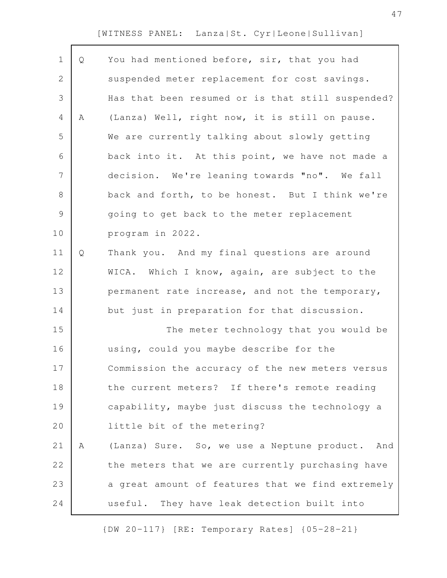| $\mathbf 1$    | Q | You had mentioned before, sir, that you had       |
|----------------|---|---------------------------------------------------|
| $\mathbf{2}$   |   | suspended meter replacement for cost savings.     |
| 3              |   | Has that been resumed or is that still suspended? |
| $\overline{4}$ | Α | (Lanza) Well, right now, it is still on pause.    |
| 5              |   | We are currently talking about slowly getting     |
| 6              |   | back into it. At this point, we have not made a   |
| 7              |   | decision. We're leaning towards "no". We fall     |
| $\,8\,$        |   | back and forth, to be honest. But I think we're   |
| $\mathsf 9$    |   | going to get back to the meter replacement        |
| 10             |   | program in 2022.                                  |
| 11             | Q | Thank you. And my final questions are around      |
| 12             |   | WICA. Which I know, again, are subject to the     |
| 13             |   | permanent rate increase, and not the temporary,   |
| 14             |   | but just in preparation for that discussion.      |
| 15             |   | The meter technology that you would be            |
| 16             |   | using, could you maybe describe for the           |
| 17             |   | Commission the accuracy of the new meters versus  |
| 18             |   | the current meters? If there's remote reading     |
| 19             |   | capability, maybe just discuss the technology a   |
| 20             |   | little bit of the metering?                       |
| 21             | Α | (Lanza) Sure. So, we use a Neptune product. And   |
| 22             |   | the meters that we are currently purchasing have  |
| 23             |   | a great amount of features that we find extremely |
| 24             |   | useful. They have leak detection built into       |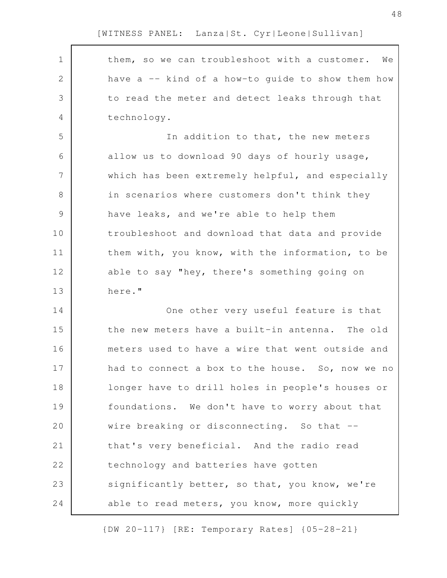$\mathbf{r}$ 

| $\mathbf 1$   | them, so we can troubleshoot with a customer. We  |
|---------------|---------------------------------------------------|
| $\mathbf{2}$  | have a -- kind of a how-to guide to show them how |
| 3             | to read the meter and detect leaks through that   |
| 4             | technology.                                       |
| 5             | In addition to that, the new meters               |
| 6             | allow us to download 90 days of hourly usage,     |
| 7             | which has been extremely helpful, and especially  |
| $\,8\,$       | in scenarios where customers don't think they     |
| $\mathcal{G}$ | have leaks, and we're able to help them           |
| 10            | troubleshoot and download that data and provide   |
| 11            | them with, you know, with the information, to be  |
| 12            | able to say "hey, there's something going on      |
| 13            | here."                                            |
| 14            | One other very useful feature is that             |
| 15            | the new meters have a built-in antenna. The old   |
| 16            | meters used to have a wire that went outside and  |
| 17            | had to connect a box to the house. So, now we no  |
| 18            | longer have to drill holes in people's houses or  |
| 19            | foundations. We don't have to worry about that    |
| 20            | wire breaking or disconnecting. So that --        |
| 21            | that's very beneficial. And the radio read        |
| 22            | technology and batteries have gotten              |
| 23            | significantly better, so that, you know, we're    |
| 24            | able to read meters, you know, more quickly       |

{DW 20-117} [RE: Temporary Rates] {05-28-21}

48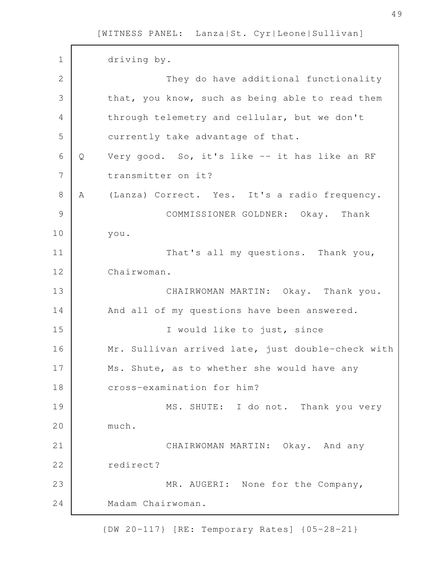driving by. They do have additional functionality that, you know, such as being able to read them through telemetry and cellular, but we don't currently take advantage of that. Q Very good. So, it's like -- it has like an RF transmitter on it? A (Lanza) Correct. Yes. It's a radio frequency. COMMISSIONER GOLDNER: Okay. Thank you. That's all my questions. Thank you, Chairwoman. CHAIRWOMAN MARTIN: Okay. Thank you. And all of my questions have been answered. I would like to just, since Mr. Sullivan arrived late, just double-check with Ms. Shute, as to whether she would have any cross-examination for him? MS. SHUTE: I do not. Thank you very much. CHAIRWOMAN MARTIN: Okay. And any redirect? MR. AUGERI: None for the Company, Madam Chairwoman. 1 2 3 4 5 6 7 8 9 10 11 12 13 14 15 16 17 18 19 20 21 22 23 24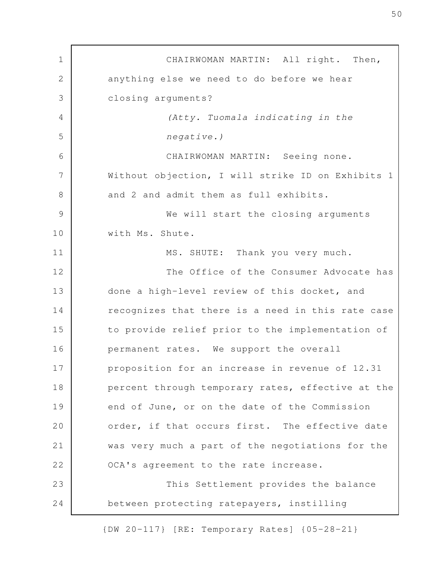CHAIRWOMAN MARTIN: All right. Then, anything else we need to do before we hear closing arguments? (Atty. Tuomala indicating in the negative.) CHAIRWOMAN MARTIN: Seeing none. Without objection, I will strike ID on Exhibits 1 and 2 and admit them as full exhibits. We will start the closing arguments with Ms. Shute. MS. SHUTE: Thank you very much. The Office of the Consumer Advocate has done a high-level review of this docket, and recognizes that there is a need in this rate case to provide relief prior to the implementation of permanent rates. We support the overall proposition for an increase in revenue of 12.31 percent through temporary rates, effective at the end of June, or on the date of the Commission order, if that occurs first. The effective date was very much a part of the negotiations for the OCA's agreement to the rate increase. This Settlement provides the balance between protecting ratepayers, instilling 1 2 3 4 5 6 7 8 9 10 11 12 13 14 15 16 17 18 19 20 21 22 23 24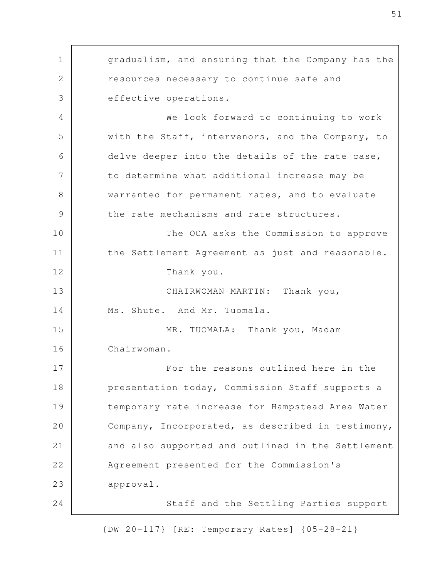gradualism, and ensuring that the Company has the resources necessary to continue safe and effective operations. We look forward to continuing to work with the Staff, intervenors, and the Company, to delve deeper into the details of the rate case, to determine what additional increase may be warranted for permanent rates, and to evaluate the rate mechanisms and rate structures. The OCA asks the Commission to approve the Settlement Agreement as just and reasonable. Thank you. CHAIRWOMAN MARTIN: Thank you, Ms. Shute. And Mr. Tuomala. MR. TUOMALA: Thank you, Madam Chairwoman. For the reasons outlined here in the presentation today, Commission Staff supports a temporary rate increase for Hampstead Area Water Company, Incorporated, as described in testimony, and also supported and outlined in the Settlement Agreement presented for the Commission's approval. Staff and the Settling Parties support 1 2 3 4 5 6 7 8 9 10 11 12 13 14 15 16 17 18 19 20 21 22 23 24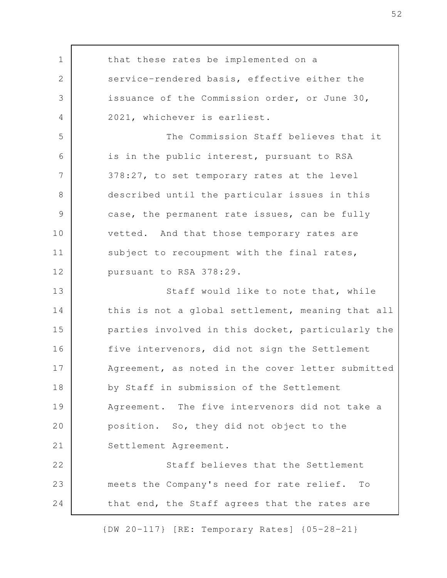that these rates be implemented on a service-rendered basis, effective either the issuance of the Commission order, or June 30, 2021, whichever is earliest. The Commission Staff believes that it is in the public interest, pursuant to RSA 378:27, to set temporary rates at the level described until the particular issues in this case, the permanent rate issues, can be fully vetted. And that those temporary rates are subject to recoupment with the final rates, pursuant to RSA 378:29. Staff would like to note that, while this is not a global settlement, meaning that all parties involved in this docket, particularly the five intervenors, did not sign the Settlement Agreement, as noted in the cover letter submitted by Staff in submission of the Settlement Agreement. The five intervenors did not take a position. So, they did not object to the Settlement Agreement. Staff believes that the Settlement meets the Company's need for rate relief. To that end, the Staff agrees that the rates are 1 2 3 4 5 6 7 8 9 10 11 12 13 14 15 16 17 18 19 20 21 22 23 24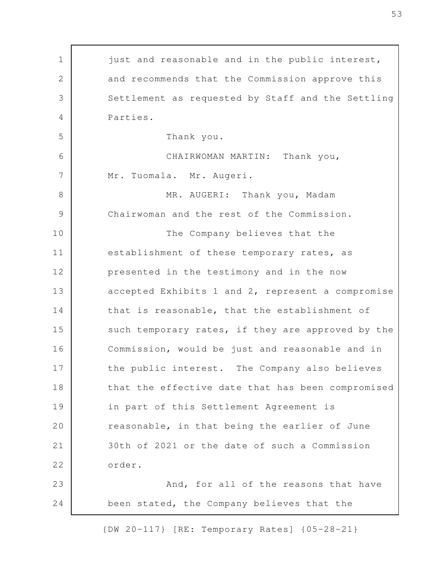just and reasonable and in the public interest, and recommends that the Commission approve this Settlement as requested by Staff and the Settling Parties. Thank you. CHAIRWOMAN MARTIN: Thank you, Mr. Tuomala. Mr. Augeri. MR. AUGERI: Thank you, Madam Chairwoman and the rest of the Commission. The Company believes that the establishment of these temporary rates, as presented in the testimony and in the now accepted Exhibits 1 and 2, represent a compromise that is reasonable, that the establishment of such temporary rates, if they are approved by the Commission, would be just and reasonable and in the public interest. The Company also believes that the effective date that has been compromised in part of this Settlement Agreement is reasonable, in that being the earlier of June 30th of 2021 or the date of such a Commission order. And, for all of the reasons that have been stated, the Company believes that the 1 2 3 4 5 6 7 8 9 10 11 12 13 14 15 16 17 18 19 20 21 22 23 24